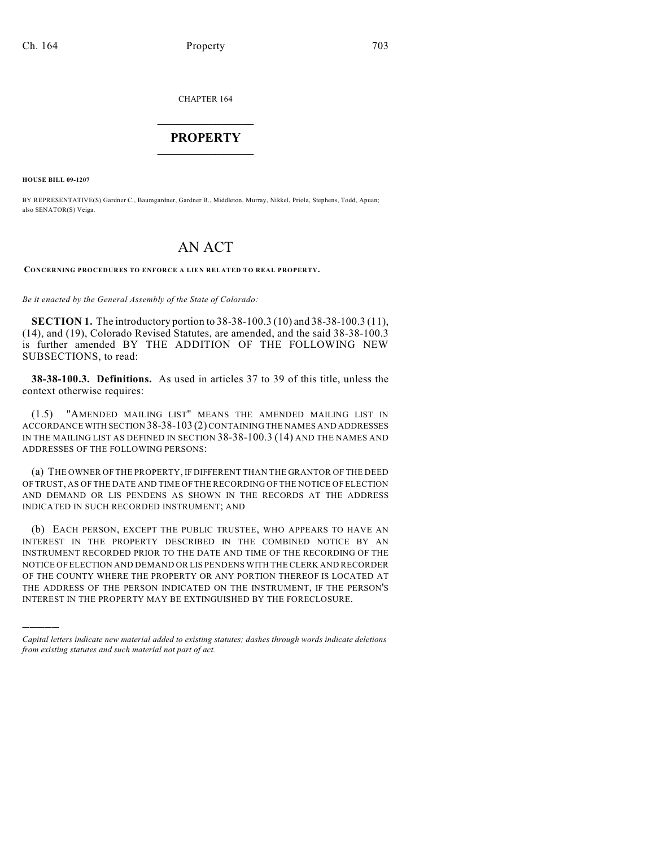CHAPTER 164

# $\overline{\phantom{a}}$  . The set of the set of the set of the set of the set of the set of the set of the set of the set of the set of the set of the set of the set of the set of the set of the set of the set of the set of the set o **PROPERTY**  $\_$   $\_$   $\_$   $\_$   $\_$   $\_$   $\_$   $\_$   $\_$

**HOUSE BILL 09-1207**

)))))

BY REPRESENTATIVE(S) Gardner C., Baumgardner, Gardner B., Middleton, Murray, Nikkel, Priola, Stephens, Todd, Apuan; also SENATOR(S) Veiga.

# AN ACT

**CONCERNING PROCEDURES TO ENFORCE A LIEN RELATED TO REAL PROPERTY.**

*Be it enacted by the General Assembly of the State of Colorado:*

**SECTION 1.** The introductory portion to 38-38-100.3 (10) and 38-38-100.3 (11), (14), and (19), Colorado Revised Statutes, are amended, and the said 38-38-100.3 is further amended BY THE ADDITION OF THE FOLLOWING NEW SUBSECTIONS, to read:

**38-38-100.3. Definitions.** As used in articles 37 to 39 of this title, unless the context otherwise requires:

(1.5) "AMENDED MAILING LIST" MEANS THE AMENDED MAILING LIST IN ACCORDANCE WITH SECTION 38-38-103 (2) CONTAINING THE NAMES AND ADDRESSES IN THE MAILING LIST AS DEFINED IN SECTION 38-38-100.3 (14) AND THE NAMES AND ADDRESSES OF THE FOLLOWING PERSONS:

(a) THE OWNER OF THE PROPERTY, IF DIFFERENT THAN THE GRANTOR OF THE DEED OF TRUST, AS OF THE DATE AND TIME OFTHE RECORDING OF THE NOTICE OF ELECTION AND DEMAND OR LIS PENDENS AS SHOWN IN THE RECORDS AT THE ADDRESS INDICATED IN SUCH RECORDED INSTRUMENT; AND

(b) EACH PERSON, EXCEPT THE PUBLIC TRUSTEE, WHO APPEARS TO HAVE AN INTEREST IN THE PROPERTY DESCRIBED IN THE COMBINED NOTICE BY AN INSTRUMENT RECORDED PRIOR TO THE DATE AND TIME OF THE RECORDING OF THE NOTICE OF ELECTION AND DEMAND OR LIS PENDENS WITH THE CLERK AND RECORDER OF THE COUNTY WHERE THE PROPERTY OR ANY PORTION THEREOF IS LOCATED AT THE ADDRESS OF THE PERSON INDICATED ON THE INSTRUMENT, IF THE PERSON'S INTEREST IN THE PROPERTY MAY BE EXTINGUISHED BY THE FORECLOSURE.

*Capital letters indicate new material added to existing statutes; dashes through words indicate deletions from existing statutes and such material not part of act.*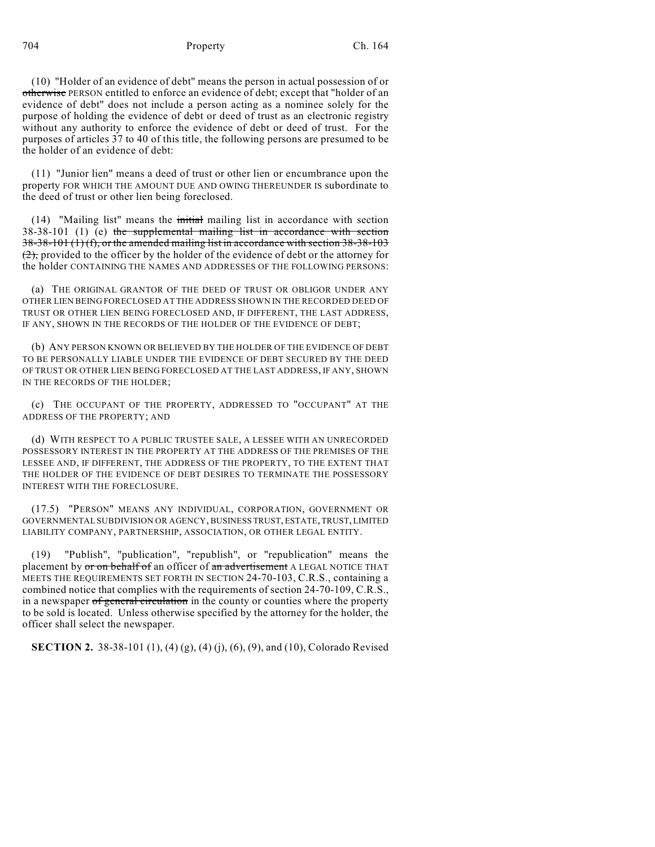(10) "Holder of an evidence of debt" means the person in actual possession of or otherwise PERSON entitled to enforce an evidence of debt; except that "holder of an evidence of debt" does not include a person acting as a nominee solely for the purpose of holding the evidence of debt or deed of trust as an electronic registry without any authority to enforce the evidence of debt or deed of trust. For the purposes of articles 37 to 40 of this title, the following persons are presumed to be the holder of an evidence of debt:

(11) "Junior lien" means a deed of trust or other lien or encumbrance upon the property FOR WHICH THE AMOUNT DUE AND OWING THEREUNDER IS subordinate to the deed of trust or other lien being foreclosed.

 $(14)$  "Mailing list" means the initial mailing list in accordance with section 38-38-101 (1) (e) the supplemental mailing list in accordance with section 38-38-101 (1) (f), or the amended mailing list in accordance with section 38-38-103  $(2)$ , provided to the officer by the holder of the evidence of debt or the attorney for the holder CONTAINING THE NAMES AND ADDRESSES OF THE FOLLOWING PERSONS:

(a) THE ORIGINAL GRANTOR OF THE DEED OF TRUST OR OBLIGOR UNDER ANY OTHER LIEN BEING FORECLOSED AT THE ADDRESS SHOWN IN THE RECORDED DEED OF TRUST OR OTHER LIEN BEING FORECLOSED AND, IF DIFFERENT, THE LAST ADDRESS, IF ANY, SHOWN IN THE RECORDS OF THE HOLDER OF THE EVIDENCE OF DEBT;

(b) ANY PERSON KNOWN OR BELIEVED BY THE HOLDER OF THE EVIDENCE OF DEBT TO BE PERSONALLY LIABLE UNDER THE EVIDENCE OF DEBT SECURED BY THE DEED OF TRUST OR OTHER LIEN BEING FORECLOSED AT THE LAST ADDRESS, IF ANY, SHOWN IN THE RECORDS OF THE HOLDER;

(c) THE OCCUPANT OF THE PROPERTY, ADDRESSED TO "OCCUPANT" AT THE ADDRESS OF THE PROPERTY; AND

(d) WITH RESPECT TO A PUBLIC TRUSTEE SALE, A LESSEE WITH AN UNRECORDED POSSESSORY INTEREST IN THE PROPERTY AT THE ADDRESS OF THE PREMISES OF THE LESSEE AND, IF DIFFERENT, THE ADDRESS OF THE PROPERTY, TO THE EXTENT THAT THE HOLDER OF THE EVIDENCE OF DEBT DESIRES TO TERMINATE THE POSSESSORY INTEREST WITH THE FORECLOSURE.

(17.5) "PERSON" MEANS ANY INDIVIDUAL, CORPORATION, GOVERNMENT OR GOVERNMENTAL SUBDIVISION OR AGENCY, BUSINESS TRUST, ESTATE, TRUST, LIMITED LIABILITY COMPANY, PARTNERSHIP, ASSOCIATION, OR OTHER LEGAL ENTITY.

(19) "Publish", "publication", "republish", or "republication" means the placement by or on behalf of an officer of an advertisement A LEGAL NOTICE THAT MEETS THE REQUIREMENTS SET FORTH IN SECTION 24-70-103, C.R.S., containing a combined notice that complies with the requirements of section 24-70-109, C.R.S., in a newspaper of general circulation in the county or counties where the property to be sold is located. Unless otherwise specified by the attorney for the holder, the officer shall select the newspaper.

**SECTION 2.** 38-38-101 (1), (4) (g), (4) (j), (6), (9), and (10), Colorado Revised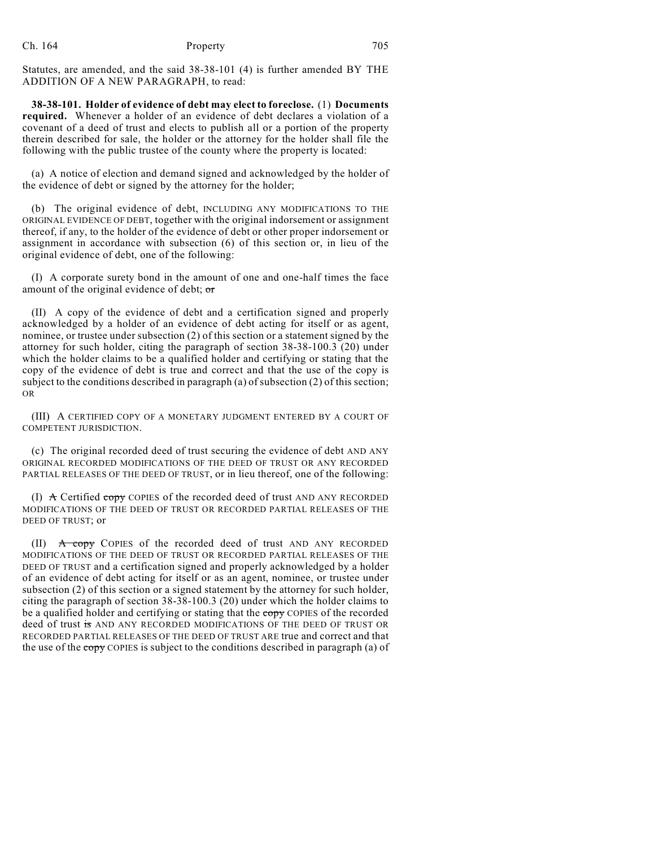Statutes, are amended, and the said 38-38-101 (4) is further amended BY THE ADDITION OF A NEW PARAGRAPH, to read:

**38-38-101. Holder of evidence of debt may elect to foreclose.** (1) **Documents required.** Whenever a holder of an evidence of debt declares a violation of a covenant of a deed of trust and elects to publish all or a portion of the property therein described for sale, the holder or the attorney for the holder shall file the following with the public trustee of the county where the property is located:

(a) A notice of election and demand signed and acknowledged by the holder of the evidence of debt or signed by the attorney for the holder;

(b) The original evidence of debt, INCLUDING ANY MODIFICATIONS TO THE ORIGINAL EVIDENCE OF DEBT, together with the original indorsement or assignment thereof, if any, to the holder of the evidence of debt or other proper indorsement or assignment in accordance with subsection (6) of this section or, in lieu of the original evidence of debt, one of the following:

(I) A corporate surety bond in the amount of one and one-half times the face amount of the original evidence of debt; or

(II) A copy of the evidence of debt and a certification signed and properly acknowledged by a holder of an evidence of debt acting for itself or as agent, nominee, or trustee under subsection (2) of this section or a statement signed by the attorney for such holder, citing the paragraph of section 38-38-100.3 (20) under which the holder claims to be a qualified holder and certifying or stating that the copy of the evidence of debt is true and correct and that the use of the copy is subject to the conditions described in paragraph (a) of subsection (2) of this section; OR

(III) A CERTIFIED COPY OF A MONETARY JUDGMENT ENTERED BY A COURT OF COMPETENT JURISDICTION.

(c) The original recorded deed of trust securing the evidence of debt AND ANY ORIGINAL RECORDED MODIFICATIONS OF THE DEED OF TRUST OR ANY RECORDED PARTIAL RELEASES OF THE DEED OF TRUST, or in lieu thereof, one of the following:

(I)  $\angle$  Certified copy COPIES of the recorded deed of trust AND ANY RECORDED MODIFICATIONS OF THE DEED OF TRUST OR RECORDED PARTIAL RELEASES OF THE DEED OF TRUST; or

(II) A copy COPIES of the recorded deed of trust AND ANY RECORDED MODIFICATIONS OF THE DEED OF TRUST OR RECORDED PARTIAL RELEASES OF THE DEED OF TRUST and a certification signed and properly acknowledged by a holder of an evidence of debt acting for itself or as an agent, nominee, or trustee under subsection (2) of this section or a signed statement by the attorney for such holder, citing the paragraph of section 38-38-100.3 (20) under which the holder claims to be a qualified holder and certifying or stating that the copy COPIES of the recorded deed of trust is AND ANY RECORDED MODIFICATIONS OF THE DEED OF TRUST OR RECORDED PARTIAL RELEASES OF THE DEED OF TRUST ARE true and correct and that the use of the copy COPIES is subject to the conditions described in paragraph (a) of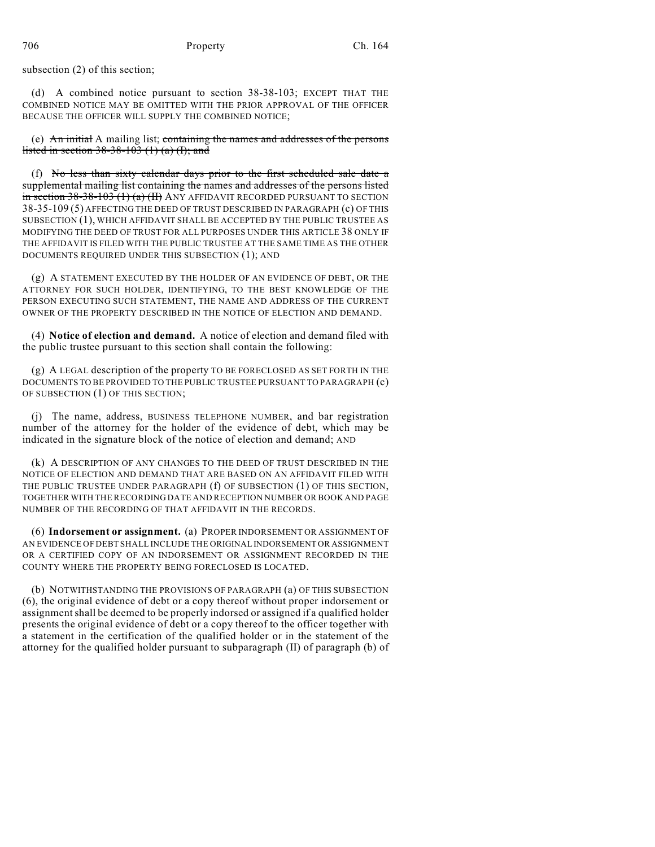subsection (2) of this section;

(d) A combined notice pursuant to section 38-38-103; EXCEPT THAT THE COMBINED NOTICE MAY BE OMITTED WITH THE PRIOR APPROVAL OF THE OFFICER BECAUSE THE OFFICER WILL SUPPLY THE COMBINED NOTICE;

(e) An initial A mailing list; containing the names and addresses of the persons listed in section 38-38-103 (1) (a) (I); and

(f) No less than sixty calendar days prior to the first scheduled sale date a supplemental mailing list containing the names and addresses of the persons listed  $\frac{1}{10}$  section 38-38-103 (1) (a) (H) ANY AFFIDAVIT RECORDED PURSUANT TO SECTION 38-35-109 (5) AFFECTING THE DEED OF TRUST DESCRIBED IN PARAGRAPH (c) OF THIS SUBSECTION (1), WHICH AFFIDAVIT SHALL BE ACCEPTED BY THE PUBLIC TRUSTEE AS MODIFYING THE DEED OF TRUST FOR ALL PURPOSES UNDER THIS ARTICLE 38 ONLY IF THE AFFIDAVIT IS FILED WITH THE PUBLIC TRUSTEE AT THE SAME TIME AS THE OTHER DOCUMENTS REQUIRED UNDER THIS SUBSECTION (1); AND

(g) A STATEMENT EXECUTED BY THE HOLDER OF AN EVIDENCE OF DEBT, OR THE ATTORNEY FOR SUCH HOLDER, IDENTIFYING, TO THE BEST KNOWLEDGE OF THE PERSON EXECUTING SUCH STATEMENT, THE NAME AND ADDRESS OF THE CURRENT OWNER OF THE PROPERTY DESCRIBED IN THE NOTICE OF ELECTION AND DEMAND.

(4) **Notice of election and demand.** A notice of election and demand filed with the public trustee pursuant to this section shall contain the following:

(g) A LEGAL description of the property TO BE FORECLOSED AS SET FORTH IN THE DOCUMENTS TO BE PROVIDED TO THE PUBLIC TRUSTEE PURSUANT TO PARAGRAPH (c) OF SUBSECTION (1) OF THIS SECTION;

(j) The name, address, BUSINESS TELEPHONE NUMBER, and bar registration number of the attorney for the holder of the evidence of debt, which may be indicated in the signature block of the notice of election and demand; AND

(k) A DESCRIPTION OF ANY CHANGES TO THE DEED OF TRUST DESCRIBED IN THE NOTICE OF ELECTION AND DEMAND THAT ARE BASED ON AN AFFIDAVIT FILED WITH THE PUBLIC TRUSTEE UNDER PARAGRAPH (f) OF SUBSECTION (1) OF THIS SECTION, TOGETHER WITH THE RECORDING DATE AND RECEPTION NUMBER OR BOOK AND PAGE NUMBER OF THE RECORDING OF THAT AFFIDAVIT IN THE RECORDS.

(6) **Indorsement or assignment.** (a) PROPER INDORSEMENT OR ASSIGNMENT OF AN EVIDENCE OF DEBT SHALL INCLUDE THE ORIGINAL INDORSEMENT OR ASSIGNMENT OR A CERTIFIED COPY OF AN INDORSEMENT OR ASSIGNMENT RECORDED IN THE COUNTY WHERE THE PROPERTY BEING FORECLOSED IS LOCATED.

(b) NOTWITHSTANDING THE PROVISIONS OF PARAGRAPH (a) OF THIS SUBSECTION (6), the original evidence of debt or a copy thereof without proper indorsement or assignment shall be deemed to be properly indorsed or assigned if a qualified holder presents the original evidence of debt or a copy thereof to the officer together with a statement in the certification of the qualified holder or in the statement of the attorney for the qualified holder pursuant to subparagraph (II) of paragraph (b) of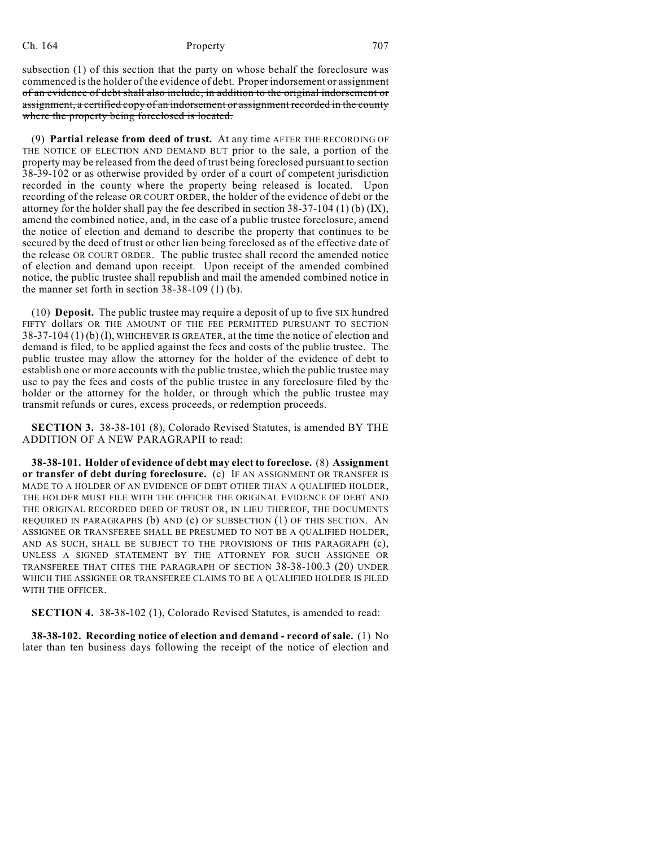## Ch. 164 **Property Property** 707

subsection (1) of this section that the party on whose behalf the foreclosure was commenced is the holder of the evidence of debt. Proper indorsement or assignment of an evidence of debt shall also include, in addition to the original indorsement or assignment, a certified copy of an indorsement or assignment recorded in the county where the property being foreclosed is located.

(9) **Partial release from deed of trust.** At any time AFTER THE RECORDING OF THE NOTICE OF ELECTION AND DEMAND BUT prior to the sale, a portion of the property may be released from the deed of trust being foreclosed pursuant to section 38-39-102 or as otherwise provided by order of a court of competent jurisdiction recorded in the county where the property being released is located. Upon recording of the release OR COURT ORDER, the holder of the evidence of debt or the attorney for the holder shall pay the fee described in section  $38-37-104$  (1) (b) (IX), amend the combined notice, and, in the case of a public trustee foreclosure, amend the notice of election and demand to describe the property that continues to be secured by the deed of trust or other lien being foreclosed as of the effective date of the release OR COURT ORDER. The public trustee shall record the amended notice of election and demand upon receipt. Upon receipt of the amended combined notice, the public trustee shall republish and mail the amended combined notice in the manner set forth in section  $38-38-109$  (1) (b).

(10) **Deposit.** The public trustee may require a deposit of up to five SIX hundred FIFTY dollars OR THE AMOUNT OF THE FEE PERMITTED PURSUANT TO SECTION 38-37-104 (1) (b) (I), WHICHEVER IS GREATER, at the time the notice of election and demand is filed, to be applied against the fees and costs of the public trustee. The public trustee may allow the attorney for the holder of the evidence of debt to establish one or more accounts with the public trustee, which the public trustee may use to pay the fees and costs of the public trustee in any foreclosure filed by the holder or the attorney for the holder, or through which the public trustee may transmit refunds or cures, excess proceeds, or redemption proceeds.

**SECTION 3.** 38-38-101 (8), Colorado Revised Statutes, is amended BY THE ADDITION OF A NEW PARAGRAPH to read:

**38-38-101. Holder of evidence of debt may elect to foreclose.** (8) **Assignment or transfer of debt during foreclosure.** (c) IF AN ASSIGNMENT OR TRANSFER IS MADE TO A HOLDER OF AN EVIDENCE OF DEBT OTHER THAN A QUALIFIED HOLDER, THE HOLDER MUST FILE WITH THE OFFICER THE ORIGINAL EVIDENCE OF DEBT AND THE ORIGINAL RECORDED DEED OF TRUST OR, IN LIEU THEREOF, THE DOCUMENTS REQUIRED IN PARAGRAPHS (b) AND (c) OF SUBSECTION (1) OF THIS SECTION. AN ASSIGNEE OR TRANSFEREE SHALL BE PRESUMED TO NOT BE A QUALIFIED HOLDER, AND AS SUCH, SHALL BE SUBJECT TO THE PROVISIONS OF THIS PARAGRAPH (c), UNLESS A SIGNED STATEMENT BY THE ATTORNEY FOR SUCH ASSIGNEE OR TRANSFEREE THAT CITES THE PARAGRAPH OF SECTION 38-38-100.3 (20) UNDER WHICH THE ASSIGNEE OR TRANSFEREE CLAIMS TO BE A QUALIFIED HOLDER IS FILED WITH THE OFFICER.

**SECTION 4.** 38-38-102 (1), Colorado Revised Statutes, is amended to read:

**38-38-102. Recording notice of election and demand - record of sale.** (1) No later than ten business days following the receipt of the notice of election and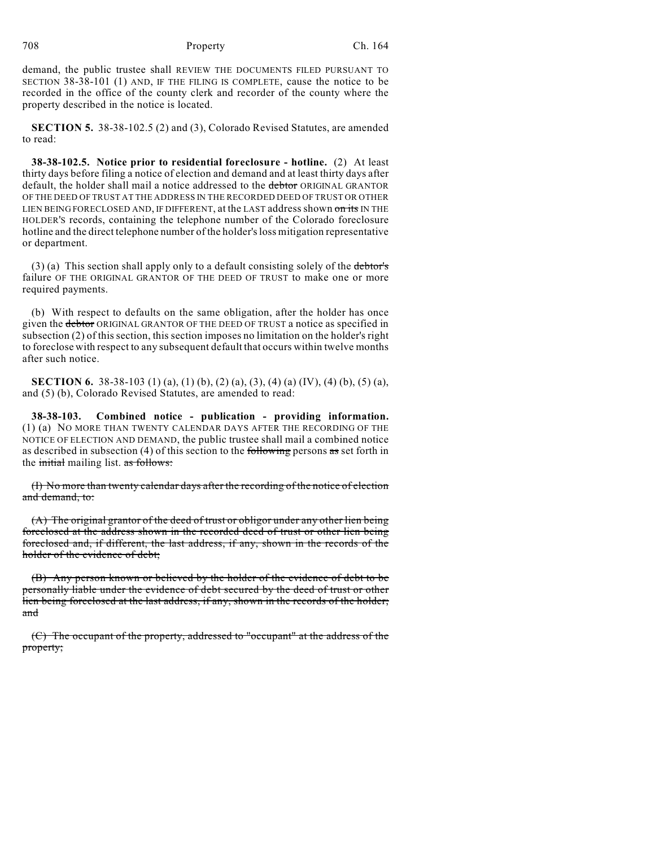demand, the public trustee shall REVIEW THE DOCUMENTS FILED PURSUANT TO SECTION 38-38-101 (1) AND, IF THE FILING IS COMPLETE, cause the notice to be recorded in the office of the county clerk and recorder of the county where the property described in the notice is located.

**SECTION 5.** 38-38-102.5 (2) and (3), Colorado Revised Statutes, are amended to read:

**38-38-102.5. Notice prior to residential foreclosure - hotline.** (2) At least thirty days before filing a notice of election and demand and at least thirty days after default, the holder shall mail a notice addressed to the debtor ORIGINAL GRANTOR OF THE DEED OF TRUST AT THE ADDRESS IN THE RECORDED DEED OF TRUST OR OTHER LIEN BEING FORECLOSED AND, IF DIFFERENT, at the LAST address shown on its IN THE HOLDER'S records, containing the telephone number of the Colorado foreclosure hotline and the direct telephone number of the holder's loss mitigation representative or department.

 $(3)$  (a) This section shall apply only to a default consisting solely of the debtor's failure OF THE ORIGINAL GRANTOR OF THE DEED OF TRUST to make one or more required payments.

(b) With respect to defaults on the same obligation, after the holder has once given the debtor ORIGINAL GRANTOR OF THE DEED OF TRUST a notice as specified in subsection (2) of this section, this section imposes no limitation on the holder's right to foreclose with respect to any subsequent default that occurs within twelve months after such notice.

**SECTION 6.** 38-38-103 (1) (a), (1) (b), (2) (a), (3), (4) (a) (IV), (4) (b), (5) (a), and (5) (b), Colorado Revised Statutes, are amended to read:

**38-38-103. Combined notice - publication - providing information.** (1) (a) NO MORE THAN TWENTY CALENDAR DAYS AFTER THE RECORDING OF THE NOTICE OF ELECTION AND DEMAND, the public trustee shall mail a combined notice as described in subsection (4) of this section to the following persons as set forth in the initial mailing list. as follows:

(I) No more than twenty calendar days after the recording of the notice of election and demand, to:

(A) The original grantor of the deed of trust or obligor under any other lien being foreclosed at the address shown in the recorded deed of trust or other lien being foreclosed and, if different, the last address, if any, shown in the records of the holder of the evidence of debt;

(B) Any person known or believed by the holder of the evidence of debt to be personally liable under the evidence of debt secured by the deed of trust or other lien being foreclosed at the last address, if any, shown in the records of the holder; and

(C) The occupant of the property, addressed to "occupant" at the address of the property;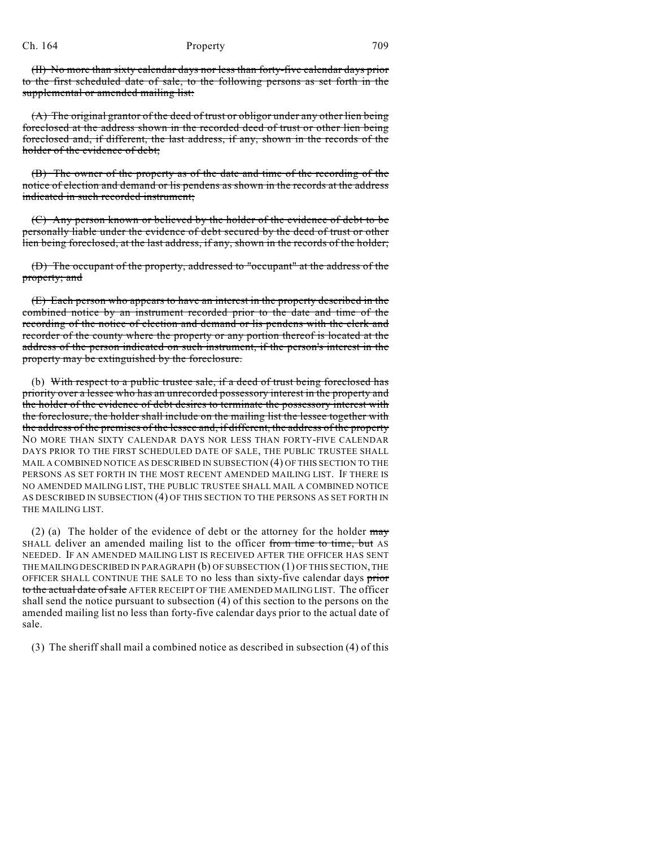## Ch. 164 **Property Property** 209

(II) No more than sixty calendar days nor less than forty-five calendar days prior to the first scheduled date of sale, to the following persons as set forth in the supplemental or amended mailing list:

(A) The original grantor of the deed of trust or obligor under any other lien being foreclosed at the address shown in the recorded deed of trust or other lien being foreclosed and, if different, the last address, if any, shown in the records of the holder of the evidence of debt;

(B) The owner of the property as of the date and time of the recording of the notice of election and demand or lis pendens as shown in the records at the address indicated in such recorded instrument;

(C) Any person known or believed by the holder of the evidence of debt to be personally liable under the evidence of debt secured by the deed of trust or other lien being foreclosed, at the last address, if any, shown in the records of the holder;

(D) The occupant of the property, addressed to "occupant" at the address of the property; and

(E) Each person who appears to have an interest in the property described in the combined notice by an instrument recorded prior to the date and time of the recording of the notice of election and demand or lis pendens with the clerk and recorder of the county where the property or any portion thereof is located at the address of the person indicated on such instrument, if the person's interest in the property may be extinguished by the foreclosure.

(b) With respect to a public trustee sale, if a deed of trust being foreclosed has priority over a lessee who has an unrecorded possessory interest in the property and the holder of the evidence of debt desires to terminate the possessory interest with the foreclosure, the holder shall include on the mailing list the lessee together with the address of the premises of the lessee and, if different, the address of the property NO MORE THAN SIXTY CALENDAR DAYS NOR LESS THAN FORTY-FIVE CALENDAR DAYS PRIOR TO THE FIRST SCHEDULED DATE OF SALE, THE PUBLIC TRUSTEE SHALL MAIL A COMBINED NOTICE AS DESCRIBED IN SUBSECTION (4) OF THIS SECTION TO THE PERSONS AS SET FORTH IN THE MOST RECENT AMENDED MAILING LIST. IF THERE IS NO AMENDED MAILING LIST, THE PUBLIC TRUSTEE SHALL MAIL A COMBINED NOTICE AS DESCRIBED IN SUBSECTION (4) OF THIS SECTION TO THE PERSONS AS SET FORTH IN THE MAILING LIST.

(2) (a) The holder of the evidence of debt or the attorney for the holder  $\frac{m}{q}$ SHALL deliver an amended mailing list to the officer from time to time, but AS NEEDED. IF AN AMENDED MAILING LIST IS RECEIVED AFTER THE OFFICER HAS SENT THE MAILING DESCRIBED IN PARAGRAPH (b) OF SUBSECTION (1) OF THIS SECTION, THE OFFICER SHALL CONTINUE THE SALE TO no less than sixty-five calendar days prior to the actual date of sale AFTER RECEIPT OF THE AMENDED MAILING LIST. The officer shall send the notice pursuant to subsection (4) of this section to the persons on the amended mailing list no less than forty-five calendar days prior to the actual date of sale.

(3) The sheriff shall mail a combined notice as described in subsection (4) of this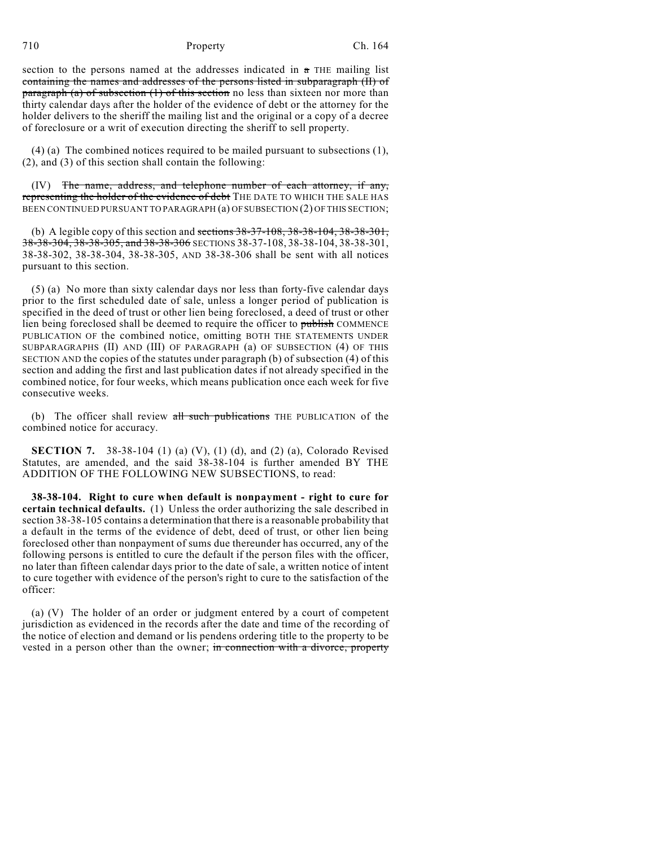section to the persons named at the addresses indicated in  $\pi$  THE mailing list containing the names and addresses of the persons listed in subparagraph (II) of paragraph (a) of subsection  $(1)$  of this section no less than sixteen nor more than thirty calendar days after the holder of the evidence of debt or the attorney for the holder delivers to the sheriff the mailing list and the original or a copy of a decree of foreclosure or a writ of execution directing the sheriff to sell property.

(4) (a) The combined notices required to be mailed pursuant to subsections (1), (2), and (3) of this section shall contain the following:

(IV) The name, address, and telephone number of each attorney, if any, representing the holder of the evidence of debt THE DATE TO WHICH THE SALE HAS BEEN CONTINUED PURSUANT TO PARAGRAPH (a) OF SUBSECTION (2) OF THIS SECTION;

(b) A legible copy of this section and sections  $38-37-108$ ,  $38-38-104$ ,  $38-38-301$ , 38-38-304, 38-38-305, and 38-38-306 SECTIONS 38-37-108, 38-38-104, 38-38-301, 38-38-302, 38-38-304, 38-38-305, AND 38-38-306 shall be sent with all notices pursuant to this section.

(5) (a) No more than sixty calendar days nor less than forty-five calendar days prior to the first scheduled date of sale, unless a longer period of publication is specified in the deed of trust or other lien being foreclosed, a deed of trust or other lien being foreclosed shall be deemed to require the officer to publish COMMENCE PUBLICATION OF the combined notice, omitting BOTH THE STATEMENTS UNDER SUBPARAGRAPHS (II) AND (III) OF PARAGRAPH (a) OF SUBSECTION (4) OF THIS SECTION AND the copies of the statutes under paragraph (b) of subsection (4) of this section and adding the first and last publication dates if not already specified in the combined notice, for four weeks, which means publication once each week for five consecutive weeks.

(b) The officer shall review all such publications THE PUBLICATION of the combined notice for accuracy.

**SECTION 7.** 38-38-104 (1) (a) (V), (1) (d), and (2) (a), Colorado Revised Statutes, are amended, and the said 38-38-104 is further amended BY THE ADDITION OF THE FOLLOWING NEW SUBSECTIONS, to read:

**38-38-104. Right to cure when default is nonpayment - right to cure for certain technical defaults.** (1) Unless the order authorizing the sale described in section 38-38-105 contains a determination that there is a reasonable probability that a default in the terms of the evidence of debt, deed of trust, or other lien being foreclosed other than nonpayment of sums due thereunder has occurred, any of the following persons is entitled to cure the default if the person files with the officer, no later than fifteen calendar days prior to the date of sale, a written notice of intent to cure together with evidence of the person's right to cure to the satisfaction of the officer:

(a) (V) The holder of an order or judgment entered by a court of competent jurisdiction as evidenced in the records after the date and time of the recording of the notice of election and demand or lis pendens ordering title to the property to be vested in a person other than the owner; in connection with a divorce, property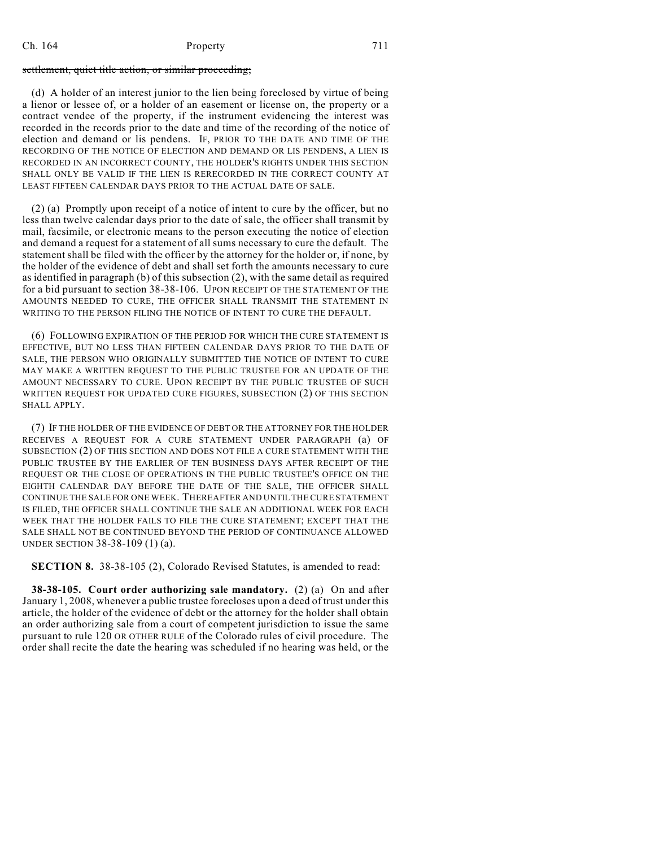#### settlement, quiet title action, or similar proceeding;

(d) A holder of an interest junior to the lien being foreclosed by virtue of being a lienor or lessee of, or a holder of an easement or license on, the property or a contract vendee of the property, if the instrument evidencing the interest was recorded in the records prior to the date and time of the recording of the notice of election and demand or lis pendens. IF, PRIOR TO THE DATE AND TIME OF THE RECORDING OF THE NOTICE OF ELECTION AND DEMAND OR LIS PENDENS, A LIEN IS RECORDED IN AN INCORRECT COUNTY, THE HOLDER'S RIGHTS UNDER THIS SECTION SHALL ONLY BE VALID IF THE LIEN IS RERECORDED IN THE CORRECT COUNTY AT LEAST FIFTEEN CALENDAR DAYS PRIOR TO THE ACTUAL DATE OF SALE.

(2) (a) Promptly upon receipt of a notice of intent to cure by the officer, but no less than twelve calendar days prior to the date of sale, the officer shall transmit by mail, facsimile, or electronic means to the person executing the notice of election and demand a request for a statement of all sums necessary to cure the default. The statement shall be filed with the officer by the attorney for the holder or, if none, by the holder of the evidence of debt and shall set forth the amounts necessary to cure as identified in paragraph (b) of this subsection (2), with the same detail as required for a bid pursuant to section 38-38-106. UPON RECEIPT OF THE STATEMENT OF THE AMOUNTS NEEDED TO CURE, THE OFFICER SHALL TRANSMIT THE STATEMENT IN WRITING TO THE PERSON FILING THE NOTICE OF INTENT TO CURE THE DEFAULT.

(6) FOLLOWING EXPIRATION OF THE PERIOD FOR WHICH THE CURE STATEMENT IS EFFECTIVE, BUT NO LESS THAN FIFTEEN CALENDAR DAYS PRIOR TO THE DATE OF SALE, THE PERSON WHO ORIGINALLY SUBMITTED THE NOTICE OF INTENT TO CURE MAY MAKE A WRITTEN REQUEST TO THE PUBLIC TRUSTEE FOR AN UPDATE OF THE AMOUNT NECESSARY TO CURE. UPON RECEIPT BY THE PUBLIC TRUSTEE OF SUCH WRITTEN REQUEST FOR UPDATED CURE FIGURES, SUBSECTION (2) OF THIS SECTION SHALL APPLY.

(7) IF THE HOLDER OF THE EVIDENCE OF DEBT OR THE ATTORNEY FOR THE HOLDER RECEIVES A REQUEST FOR A CURE STATEMENT UNDER PARAGRAPH (a) OF SUBSECTION (2) OF THIS SECTION AND DOES NOT FILE A CURE STATEMENT WITH THE PUBLIC TRUSTEE BY THE EARLIER OF TEN BUSINESS DAYS AFTER RECEIPT OF THE REQUEST OR THE CLOSE OF OPERATIONS IN THE PUBLIC TRUSTEE'S OFFICE ON THE EIGHTH CALENDAR DAY BEFORE THE DATE OF THE SALE, THE OFFICER SHALL CONTINUE THE SALE FOR ONE WEEK. THEREAFTER AND UNTIL THE CURE STATEMENT IS FILED, THE OFFICER SHALL CONTINUE THE SALE AN ADDITIONAL WEEK FOR EACH WEEK THAT THE HOLDER FAILS TO FILE THE CURE STATEMENT; EXCEPT THAT THE SALE SHALL NOT BE CONTINUED BEYOND THE PERIOD OF CONTINUANCE ALLOWED UNDER SECTION 38-38-109 (1) (a).

**SECTION 8.** 38-38-105 (2), Colorado Revised Statutes, is amended to read:

**38-38-105. Court order authorizing sale mandatory.** (2) (a) On and after January 1, 2008, whenever a public trustee forecloses upon a deed of trust under this article, the holder of the evidence of debt or the attorney for the holder shall obtain an order authorizing sale from a court of competent jurisdiction to issue the same pursuant to rule 120 OR OTHER RULE of the Colorado rules of civil procedure. The order shall recite the date the hearing was scheduled if no hearing was held, or the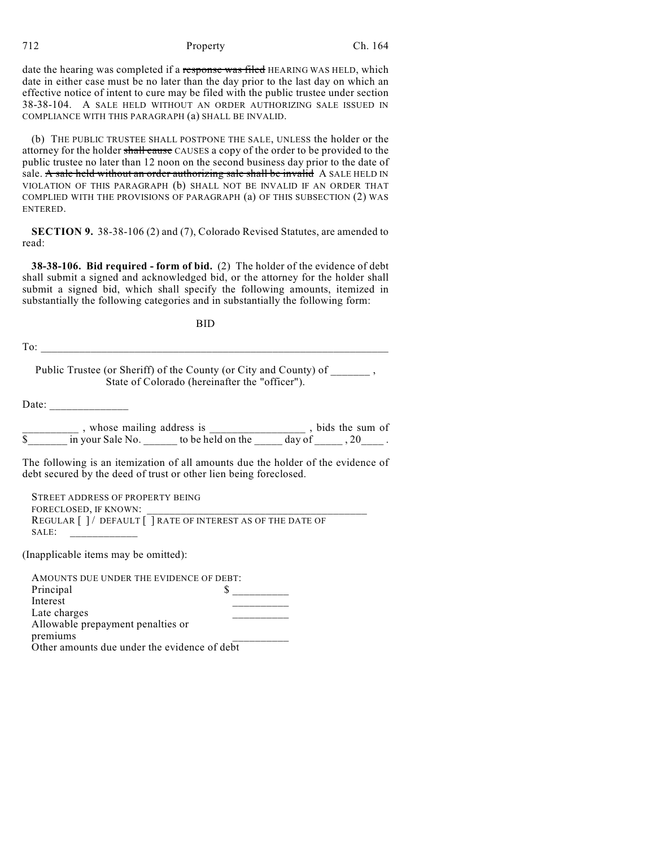date the hearing was completed if a response was filed HEARING WAS HELD, which date in either case must be no later than the day prior to the last day on which an effective notice of intent to cure may be filed with the public trustee under section 38-38-104. A SALE HELD WITHOUT AN ORDER AUTHORIZING SALE ISSUED IN COMPLIANCE WITH THIS PARAGRAPH (a) SHALL BE INVALID.

(b) THE PUBLIC TRUSTEE SHALL POSTPONE THE SALE, UNLESS the holder or the attorney for the holder shall cause CAUSES a copy of the order to be provided to the public trustee no later than 12 noon on the second business day prior to the date of sale. A sale held without an order authorizing sale shall be invalid A SALE HELD IN VIOLATION OF THIS PARAGRAPH (b) SHALL NOT BE INVALID IF AN ORDER THAT COMPLIED WITH THE PROVISIONS OF PARAGRAPH (a) OF THIS SUBSECTION (2) WAS ENTERED.

**SECTION 9.** 38-38-106 (2) and (7), Colorado Revised Statutes, are amended to read:

**38-38-106. Bid required - form of bid.** (2) The holder of the evidence of debt shall submit a signed and acknowledged bid, or the attorney for the holder shall submit a signed bid, which shall specify the following amounts, itemized in substantially the following categories and in substantially the following form:

BID

Public Trustee (or Sheriff) of the County (or City and County) of \_\_\_\_\_\_\_, State of Colorado (hereinafter the "officer").

Date: \_\_\_\_\_\_\_\_\_\_\_\_\_\_

To:

| whose mailing address is |                   |        | bids the sum of |  |
|--------------------------|-------------------|--------|-----------------|--|
| in your Sale No.         | to be held on the | dav of |                 |  |

The following is an itemization of all amounts due the holder of the evidence of debt secured by the deed of trust or other lien being foreclosed.

STREET ADDRESS OF PROPERTY BEING FORECLOSED, IF KNOWN: REGULAR  $\lceil$   $\rceil$  / DEFAULT  $\lceil$  RATE OF INTEREST AS OF THE DATE OF SALE:

(Inapplicable items may be omitted):

| AMOUNTS DUE UNDER THE EVIDENCE OF DEBT:      |  |
|----------------------------------------------|--|
| Principal                                    |  |
| Interest                                     |  |
| Late charges                                 |  |
| Allowable prepayment penalties or            |  |
| premiums                                     |  |
| Other amounts due under the evidence of debt |  |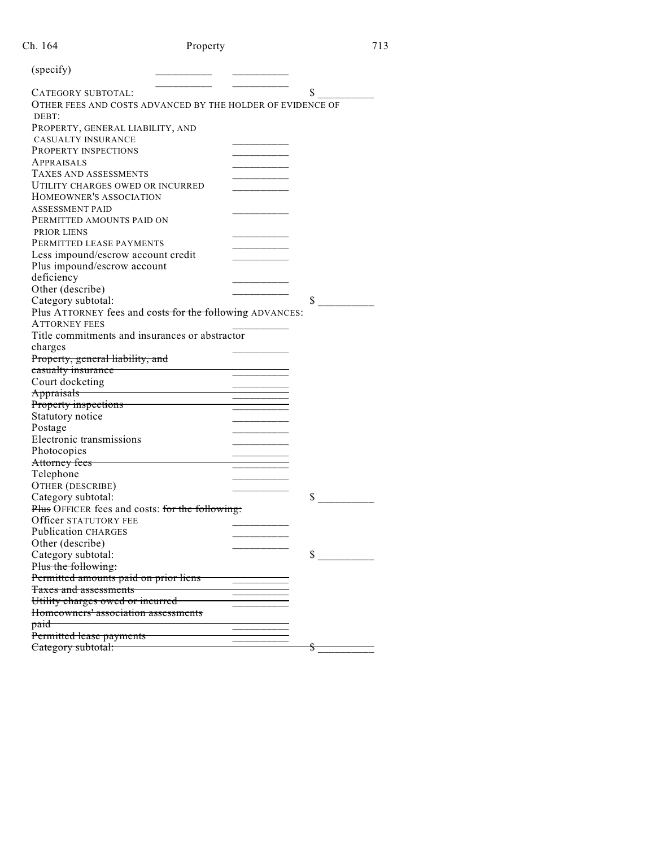| Ch. 164                                                               | Property |    | 713 |
|-----------------------------------------------------------------------|----------|----|-----|
| (specify)                                                             |          |    |     |
| CATEGORY SUBTOTAL:                                                    |          | \$ |     |
| OTHER FEES AND COSTS ADVANCED BY THE HOLDER OF EVIDENCE OF            |          |    |     |
| DEBT:                                                                 |          |    |     |
| PROPERTY, GENERAL LIABILITY, AND                                      |          |    |     |
| <b>CASUALTY INSURANCE</b>                                             |          |    |     |
| PROPERTY INSPECTIONS                                                  |          |    |     |
| APPRAISALS                                                            |          |    |     |
| TAXES AND ASSESSMENTS                                                 |          |    |     |
| UTILITY CHARGES OWED OR INCURRED                                      |          |    |     |
| HOMEOWNER'S ASSOCIATION                                               |          |    |     |
| <b>ASSESSMENT PAID</b>                                                |          |    |     |
| PERMITTED AMOUNTS PAID ON                                             |          |    |     |
| PRIOR LIENS                                                           |          |    |     |
| PERMITTED LEASE PAYMENTS                                              |          |    |     |
| Less impound/escrow account credit                                    |          |    |     |
| Plus impound/escrow account                                           |          |    |     |
| deficiency                                                            |          |    |     |
| Other (describe)                                                      |          |    |     |
| Category subtotal:                                                    |          | \$ |     |
| Plus ATTORNEY fees and costs for the following ADVANCES:              |          |    |     |
| <b>ATTORNEY FEES</b>                                                  |          |    |     |
| Title commitments and insurances or abstractor                        |          |    |     |
| charges                                                               |          |    |     |
| Property, general liability, and                                      |          |    |     |
| casualty insurance                                                    |          |    |     |
| Court docketing                                                       | ________ |    |     |
| Appraisals                                                            |          |    |     |
| Property inspections                                                  |          |    |     |
| Statutory notice                                                      |          |    |     |
| Postage                                                               |          |    |     |
| Electronic transmissions                                              |          |    |     |
| Photocopies                                                           |          |    |     |
| Attorney fees                                                         |          |    |     |
| Telephone                                                             |          |    |     |
|                                                                       |          |    |     |
| OTHER (DESCRIBE)                                                      |          | \$ |     |
| Category subtotal:<br>Plus OFFICER fees and costs: for the following: |          |    |     |
| Officer STATUTORY FEE                                                 |          |    |     |
|                                                                       |          |    |     |
| Publication CHARGES                                                   |          |    |     |
| Other (describe)                                                      |          |    |     |
| Category subtotal:                                                    |          | \$ |     |
| Plus the following:                                                   |          |    |     |
| Permitted amounts paid on prior liens                                 |          |    |     |
| <b>Taxes and assessments</b>                                          |          |    |     |
| Utility charges owed or incurred                                      |          |    |     |
| Homeowners' association assessments                                   |          |    |     |
| paid                                                                  |          |    |     |
| Permitted lease payments                                              |          |    |     |
| Category subtotal:                                                    |          | D  |     |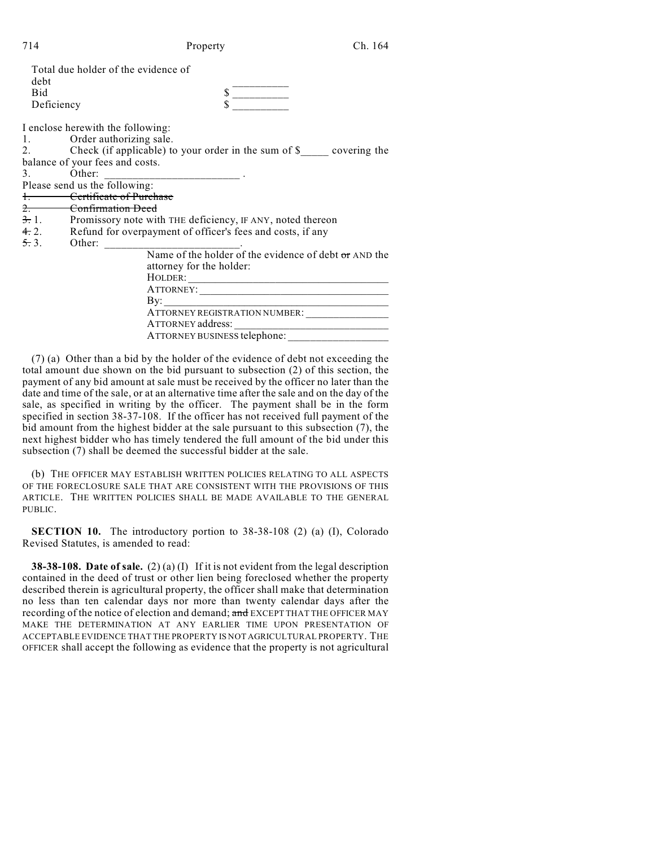| 714                | Property                                                                                  | Ch. 164 |  |  |
|--------------------|-------------------------------------------------------------------------------------------|---------|--|--|
| debt<br><b>Bid</b> | Total due holder of the evidence of                                                       |         |  |  |
| Deficiency         |                                                                                           |         |  |  |
|                    | I enclose herewith the following:                                                         |         |  |  |
|                    | 1. Order authorizing sale.                                                                |         |  |  |
|                    | 2. Check (if applicable) to your order in the sum of \$_______ covering the               |         |  |  |
|                    | balance of your fees and costs.                                                           |         |  |  |
|                    |                                                                                           |         |  |  |
|                    |                                                                                           |         |  |  |
|                    | 1. Certificate of Purchase                                                                |         |  |  |
|                    | 2. Confirmation Deed                                                                      |         |  |  |
|                    | $\frac{3}{2}$ . Promissory note with THE deficiency, IF ANY, noted thereon                |         |  |  |
|                    | 4.2. Refund for overpayment of officer's fees and costs, if any                           |         |  |  |
|                    |                                                                                           |         |  |  |
|                    | 5.3. Other: $\frac{1}{\sqrt{2\pi}}$ Mame of the holder of the evidence of debt or AND the |         |  |  |
|                    | attorney for the holder:                                                                  |         |  |  |
|                    |                                                                                           |         |  |  |
|                    |                                                                                           |         |  |  |
|                    |                                                                                           |         |  |  |
|                    |                                                                                           |         |  |  |
|                    |                                                                                           |         |  |  |
|                    | ATTORNEY BUSINESS telephone: ___________________                                          |         |  |  |
|                    |                                                                                           |         |  |  |

(7) (a) Other than a bid by the holder of the evidence of debt not exceeding the total amount due shown on the bid pursuant to subsection (2) of this section, the payment of any bid amount at sale must be received by the officer no later than the date and time of the sale, or at an alternative time after the sale and on the day of the sale, as specified in writing by the officer. The payment shall be in the form specified in section 38-37-108. If the officer has not received full payment of the bid amount from the highest bidder at the sale pursuant to this subsection (7), the next highest bidder who has timely tendered the full amount of the bid under this subsection (7) shall be deemed the successful bidder at the sale.

(b) THE OFFICER MAY ESTABLISH WRITTEN POLICIES RELATING TO ALL ASPECTS OF THE FORECLOSURE SALE THAT ARE CONSISTENT WITH THE PROVISIONS OF THIS ARTICLE. THE WRITTEN POLICIES SHALL BE MADE AVAILABLE TO THE GENERAL PUBLIC.

**SECTION 10.** The introductory portion to 38-38-108 (2) (a) (I), Colorado Revised Statutes, is amended to read:

**38-38-108. Date of sale.** (2) (a) (I) If it is not evident from the legal description contained in the deed of trust or other lien being foreclosed whether the property described therein is agricultural property, the officer shall make that determination no less than ten calendar days nor more than twenty calendar days after the recording of the notice of election and demand; and EXCEPT THAT THE OFFICER MAY MAKE THE DETERMINATION AT ANY EARLIER TIME UPON PRESENTATION OF ACCEPTABLE EVIDENCE THAT THE PROPERTY IS NOT AGRICULTURAL PROPERTY. THE OFFICER shall accept the following as evidence that the property is not agricultural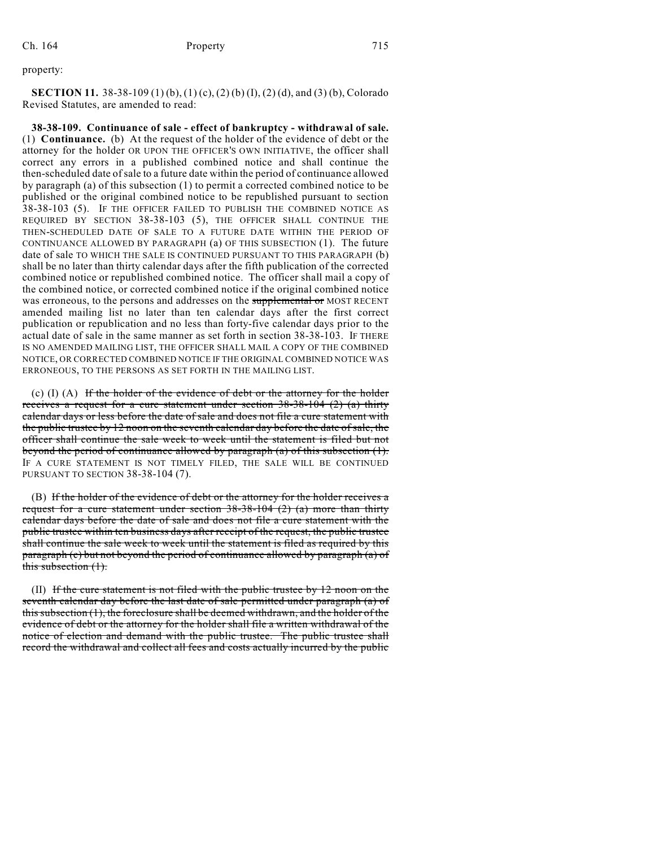property:

**SECTION 11.** 38-38-109 (1) (b), (1) (c), (2) (b) (I), (2) (d), and (3) (b), Colorado Revised Statutes, are amended to read:

**38-38-109. Continuance of sale - effect of bankruptcy - withdrawal of sale.** (1) **Continuance.** (b) At the request of the holder of the evidence of debt or the attorney for the holder OR UPON THE OFFICER'S OWN INITIATIVE, the officer shall correct any errors in a published combined notice and shall continue the then-scheduled date of sale to a future date within the period of continuance allowed by paragraph (a) of this subsection (1) to permit a corrected combined notice to be published or the original combined notice to be republished pursuant to section 38-38-103 (5). IF THE OFFICER FAILED TO PUBLISH THE COMBINED NOTICE AS REQUIRED BY SECTION 38-38-103 (5), THE OFFICER SHALL CONTINUE THE THEN-SCHEDULED DATE OF SALE TO A FUTURE DATE WITHIN THE PERIOD OF CONTINUANCE ALLOWED BY PARAGRAPH (a) OF THIS SUBSECTION (1). The future date of sale TO WHICH THE SALE IS CONTINUED PURSUANT TO THIS PARAGRAPH (b) shall be no later than thirty calendar days after the fifth publication of the corrected combined notice or republished combined notice. The officer shall mail a copy of the combined notice, or corrected combined notice if the original combined notice was erroneous, to the persons and addresses on the supplemental or MOST RECENT amended mailing list no later than ten calendar days after the first correct publication or republication and no less than forty-five calendar days prior to the actual date of sale in the same manner as set forth in section 38-38-103. IF THERE IS NO AMENDED MAILING LIST, THE OFFICER SHALL MAIL A COPY OF THE COMBINED NOTICE, OR CORRECTED COMBINED NOTICE IF THE ORIGINAL COMBINED NOTICE WAS ERRONEOUS, TO THE PERSONS AS SET FORTH IN THE MAILING LIST.

(c) (I) (A) If the holder of the evidence of debt or the attorney for the holder receives a request for a cure statement under section 38-38-104 (2) (a) thirty calendar days or less before the date of sale and does not file a cure statement with the public trustee by 12 noon on the seventh calendar day before the date of sale, the officer shall continue the sale week to week until the statement is filed but not beyond the period of continuance allowed by paragraph (a) of this subsection (1). IF A CURE STATEMENT IS NOT TIMELY FILED, THE SALE WILL BE CONTINUED PURSUANT TO SECTION 38-38-104 (7).

(B) If the holder of the evidence of debt or the attorney for the holder receives a request for a cure statement under section  $38-38-104$  (2) (a) more than thirty calendar days before the date of sale and does not file a cure statement with the public trustee within ten business days after receipt of the request, the public trustee shall continue the sale week to week until the statement is filed as required by this paragraph (c) but not beyond the period of continuance allowed by paragraph (a) of this subsection (1).

 $(II)$  If the cure statement is not filed with the public trustee by 12 noon on the seventh calendar day before the last date of sale permitted under paragraph (a) of this subsection (1), the foreclosure shall be deemed withdrawn, and the holder of the evidence of debt or the attorney for the holder shall file a written withdrawal of the notice of election and demand with the public trustee. The public trustee shall record the withdrawal and collect all fees and costs actually incurred by the public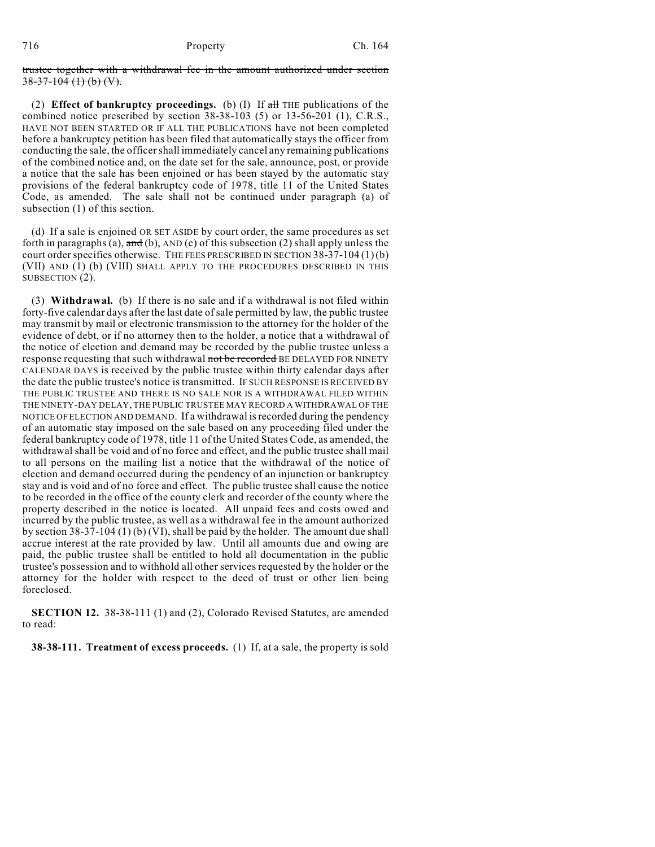#### trustee together with a withdrawal fee in the amount authorized under section  $38-37-104$  (1) (b) (V).

(2) **Effect of bankruptcy proceedings.** (b) (I) If all THE publications of the combined notice prescribed by section 38-38-103 (5) or 13-56-201 (1), C.R.S., HAVE NOT BEEN STARTED OR IF ALL THE PUBLICATIONS have not been completed before a bankruptcy petition has been filed that automatically stays the officer from conducting the sale, the officer shall immediately cancel any remaining publications of the combined notice and, on the date set for the sale, announce, post, or provide a notice that the sale has been enjoined or has been stayed by the automatic stay provisions of the federal bankruptcy code of 1978, title 11 of the United States Code, as amended. The sale shall not be continued under paragraph (a) of subsection (1) of this section.

(d) If a sale is enjoined OR SET ASIDE by court order, the same procedures as set forth in paragraphs (a),  $\overline{and}$  (b), AND (c) of this subsection (2) shall apply unless the court order specifies otherwise. THE FEES PRESCRIBED IN SECTION 38-37-104 (1)(b) (VII) AND (1) (b) (VIII) SHALL APPLY TO THE PROCEDURES DESCRIBED IN THIS SUBSECTION (2).

(3) **Withdrawal.** (b) If there is no sale and if a withdrawal is not filed within forty-five calendar days after the last date of sale permitted by law, the public trustee may transmit by mail or electronic transmission to the attorney for the holder of the evidence of debt, or if no attorney then to the holder, a notice that a withdrawal of the notice of election and demand may be recorded by the public trustee unless a response requesting that such withdrawal not be recorded BE DELAYED FOR NINETY CALENDAR DAYS is received by the public trustee within thirty calendar days after the date the public trustee's notice is transmitted. IF SUCH RESPONSE IS RECEIVED BY THE PUBLIC TRUSTEE AND THERE IS NO SALE NOR IS A WITHDRAWAL FILED WITHIN THE NINETY-DAY DELAY, THE PUBLIC TRUSTEE MAY RECORD A WITHDRAWAL OF THE NOTICE OF ELECTION AND DEMAND. If a withdrawal is recorded during the pendency of an automatic stay imposed on the sale based on any proceeding filed under the federal bankruptcy code of 1978, title 11 of the United States Code, as amended, the withdrawal shall be void and of no force and effect, and the public trustee shall mail to all persons on the mailing list a notice that the withdrawal of the notice of election and demand occurred during the pendency of an injunction or bankruptcy stay and is void and of no force and effect. The public trustee shall cause the notice to be recorded in the office of the county clerk and recorder of the county where the property described in the notice is located. All unpaid fees and costs owed and incurred by the public trustee, as well as a withdrawal fee in the amount authorized by section 38-37-104 (1) (b) (VI), shall be paid by the holder. The amount due shall accrue interest at the rate provided by law. Until all amounts due and owing are paid, the public trustee shall be entitled to hold all documentation in the public trustee's possession and to withhold all other services requested by the holder or the attorney for the holder with respect to the deed of trust or other lien being foreclosed.

**SECTION 12.** 38-38-111 (1) and (2), Colorado Revised Statutes, are amended to read:

**38-38-111. Treatment of excess proceeds.** (1) If, at a sale, the property is sold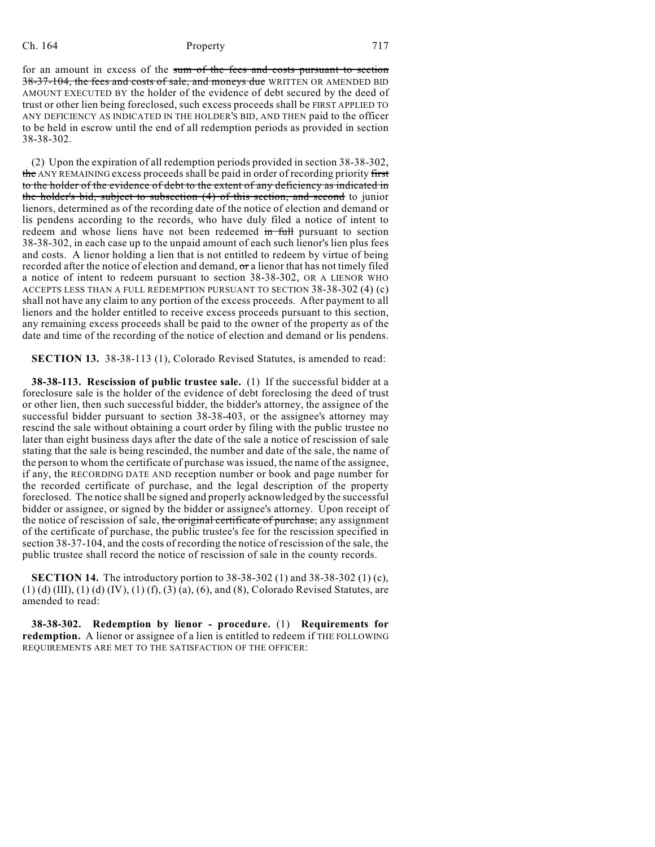## Ch. 164 **Property Property** 717

for an amount in excess of the sum of the fees and costs pursuant to section 38-37-104, the fees and costs of sale, and moneys due WRITTEN OR AMENDED BID AMOUNT EXECUTED BY the holder of the evidence of debt secured by the deed of trust or other lien being foreclosed, such excess proceeds shall be FIRST APPLIED TO ANY DEFICIENCY AS INDICATED IN THE HOLDER'S BID, AND THEN paid to the officer to be held in escrow until the end of all redemption periods as provided in section 38-38-302.

(2) Upon the expiration of all redemption periods provided in section 38-38-302, the ANY REMAINING excess proceeds shall be paid in order of recording priority first to the holder of the evidence of debt to the extent of any deficiency as indicated in the holder's bid, subject to subsection (4) of this section, and second to junior lienors, determined as of the recording date of the notice of election and demand or lis pendens according to the records, who have duly filed a notice of intent to redeem and whose liens have not been redeemed in full pursuant to section 38-38-302, in each case up to the unpaid amount of each such lienor's lien plus fees and costs. A lienor holding a lien that is not entitled to redeem by virtue of being recorded after the notice of election and demand,  $\sigma$  a lienor that has not timely filed a notice of intent to redeem pursuant to section 38-38-302, OR A LIENOR WHO ACCEPTS LESS THAN A FULL REDEMPTION PURSUANT TO SECTION 38-38-302 (4) (c) shall not have any claim to any portion of the excess proceeds. After payment to all lienors and the holder entitled to receive excess proceeds pursuant to this section, any remaining excess proceeds shall be paid to the owner of the property as of the date and time of the recording of the notice of election and demand or lis pendens.

**SECTION 13.** 38-38-113 (1), Colorado Revised Statutes, is amended to read:

**38-38-113. Rescission of public trustee sale.** (1) If the successful bidder at a foreclosure sale is the holder of the evidence of debt foreclosing the deed of trust or other lien, then such successful bidder, the bidder's attorney, the assignee of the successful bidder pursuant to section 38-38-403, or the assignee's attorney may rescind the sale without obtaining a court order by filing with the public trustee no later than eight business days after the date of the sale a notice of rescission of sale stating that the sale is being rescinded, the number and date of the sale, the name of the person to whom the certificate of purchase was issued, the name of the assignee, if any, the RECORDING DATE AND reception number or book and page number for the recorded certificate of purchase, and the legal description of the property foreclosed. The notice shall be signed and properly acknowledged by the successful bidder or assignee, or signed by the bidder or assignee's attorney. Upon receipt of the notice of rescission of sale, the original certificate of purchase, any assignment of the certificate of purchase, the public trustee's fee for the rescission specified in section 38-37-104, and the costs of recording the notice of rescission of the sale, the public trustee shall record the notice of rescission of sale in the county records.

**SECTION 14.** The introductory portion to 38-38-302 (1) and 38-38-302 (1) (c),  $(1)$  (d)  $(III)$ ,  $(1)$  (d)  $(IV)$ ,  $(1)$  (f),  $(3)$  (a),  $(6)$ , and  $(8)$ , Colorado Revised Statutes, are amended to read:

**38-38-302. Redemption by lienor - procedure.** (1) **Requirements for redemption.** A lienor or assignee of a lien is entitled to redeem if THE FOLLOWING REQUIREMENTS ARE MET TO THE SATISFACTION OF THE OFFICER: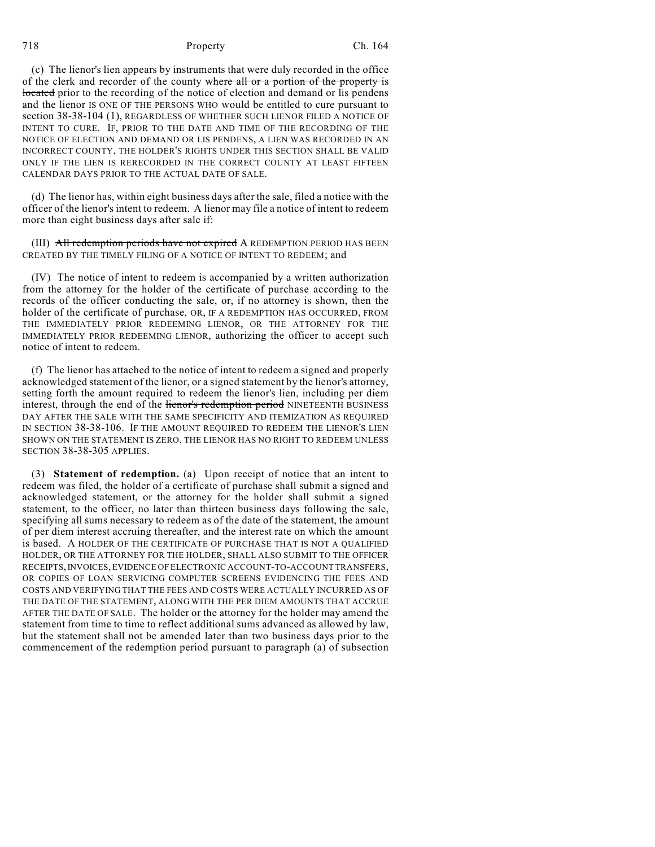(c) The lienor's lien appears by instruments that were duly recorded in the office of the clerk and recorder of the county where all or a portion of the property is located prior to the recording of the notice of election and demand or lis pendens and the lienor IS ONE OF THE PERSONS WHO would be entitled to cure pursuant to section 38-38-104 (1), REGARDLESS OF WHETHER SUCH LIENOR FILED A NOTICE OF INTENT TO CURE. IF, PRIOR TO THE DATE AND TIME OF THE RECORDING OF THE NOTICE OF ELECTION AND DEMAND OR LIS PENDENS, A LIEN WAS RECORDED IN AN INCORRECT COUNTY, THE HOLDER'S RIGHTS UNDER THIS SECTION SHALL BE VALID ONLY IF THE LIEN IS RERECORDED IN THE CORRECT COUNTY AT LEAST FIFTEEN CALENDAR DAYS PRIOR TO THE ACTUAL DATE OF SALE.

(d) The lienor has, within eight business days after the sale, filed a notice with the officer of the lienor's intent to redeem. A lienor may file a notice of intent to redeem more than eight business days after sale if:

(III) All redemption periods have not expired A REDEMPTION PERIOD HAS BEEN CREATED BY THE TIMELY FILING OF A NOTICE OF INTENT TO REDEEM; and

(IV) The notice of intent to redeem is accompanied by a written authorization from the attorney for the holder of the certificate of purchase according to the records of the officer conducting the sale, or, if no attorney is shown, then the holder of the certificate of purchase, OR, IF A REDEMPTION HAS OCCURRED, FROM THE IMMEDIATELY PRIOR REDEEMING LIENOR, OR THE ATTORNEY FOR THE IMMEDIATELY PRIOR REDEEMING LIENOR, authorizing the officer to accept such notice of intent to redeem.

(f) The lienor has attached to the notice of intent to redeem a signed and properly acknowledged statement of the lienor, or a signed statement by the lienor's attorney, setting forth the amount required to redeem the lienor's lien, including per diem interest, through the end of the lienor's redemption period NINETEENTH BUSINESS DAY AFTER THE SALE WITH THE SAME SPECIFICITY AND ITEMIZATION AS REQUIRED IN SECTION 38-38-106. IF THE AMOUNT REQUIRED TO REDEEM THE LIENOR'S LIEN SHOWN ON THE STATEMENT IS ZERO, THE LIENOR HAS NO RIGHT TO REDEEM UNLESS SECTION 38-38-305 APPLIES.

(3) **Statement of redemption.** (a) Upon receipt of notice that an intent to redeem was filed, the holder of a certificate of purchase shall submit a signed and acknowledged statement, or the attorney for the holder shall submit a signed statement, to the officer, no later than thirteen business days following the sale, specifying all sums necessary to redeem as of the date of the statement, the amount of per diem interest accruing thereafter, and the interest rate on which the amount is based. A HOLDER OF THE CERTIFICATE OF PURCHASE THAT IS NOT A QUALIFIED HOLDER, OR THE ATTORNEY FOR THE HOLDER, SHALL ALSO SUBMIT TO THE OFFICER RECEIPTS, INVOICES, EVIDENCE OF ELECTRONIC ACCOUNT-TO-ACCOUNT TRANSFERS, OR COPIES OF LOAN SERVICING COMPUTER SCREENS EVIDENCING THE FEES AND COSTS AND VERIFYING THAT THE FEES AND COSTS WERE ACTUALLY INCURRED AS OF THE DATE OF THE STATEMENT, ALONG WITH THE PER DIEM AMOUNTS THAT ACCRUE AFTER THE DATE OF SALE. The holder or the attorney for the holder may amend the statement from time to time to reflect additional sums advanced as allowed by law, but the statement shall not be amended later than two business days prior to the commencement of the redemption period pursuant to paragraph (a) of subsection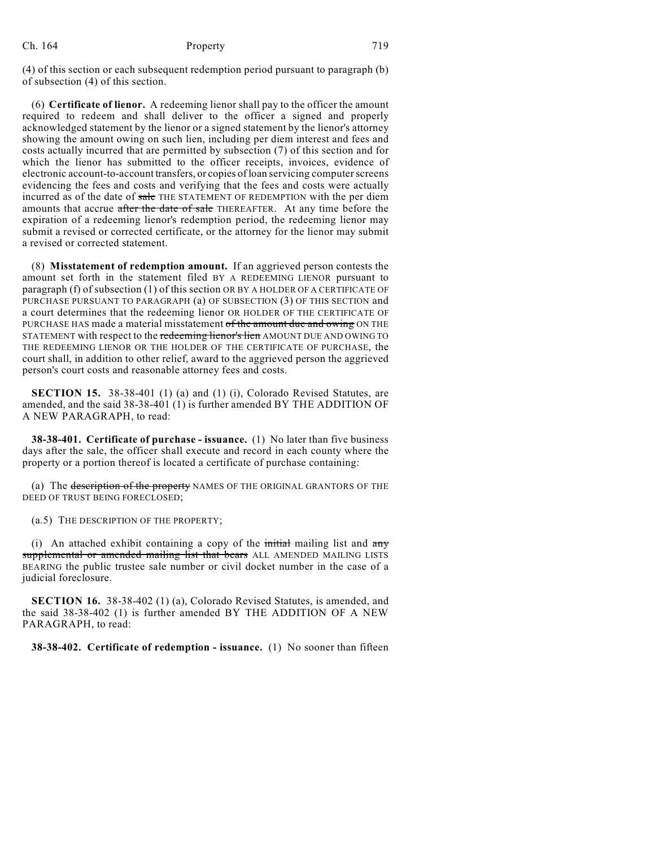(4) of this section or each subsequent redemption period pursuant to paragraph (b) of subsection (4) of this section.

(6) **Certificate of lienor.** A redeeming lienor shall pay to the officer the amount required to redeem and shall deliver to the officer a signed and properly acknowledged statement by the lienor or a signed statement by the lienor's attorney showing the amount owing on such lien, including per diem interest and fees and costs actually incurred that are permitted by subsection (7) of this section and for which the lienor has submitted to the officer receipts, invoices, evidence of electronic account-to-account transfers, or copies of loan servicing computer screens evidencing the fees and costs and verifying that the fees and costs were actually incurred as of the date of sale THE STATEMENT OF REDEMPTION with the per diem amounts that accrue after the date of sale THEREAFTER. At any time before the expiration of a redeeming lienor's redemption period, the redeeming lienor may submit a revised or corrected certificate, or the attorney for the lienor may submit a revised or corrected statement.

(8) **Misstatement of redemption amount.** If an aggrieved person contests the amount set forth in the statement filed BY A REDEEMING LIENOR pursuant to paragraph (f) of subsection (1) of this section OR BY A HOLDER OF A CERTIFICATE OF PURCHASE PURSUANT TO PARAGRAPH (a) OF SUBSECTION (3) OF THIS SECTION and a court determines that the redeeming lienor OR HOLDER OF THE CERTIFICATE OF PURCHASE HAS made a material misstatement of the amount due and owing ON THE STATEMENT with respect to the redeeming lienor's lien AMOUNT DUE AND OWING TO THE REDEEMING LIENOR OR THE HOLDER OF THE CERTIFICATE OF PURCHASE, the court shall, in addition to other relief, award to the aggrieved person the aggrieved person's court costs and reasonable attorney fees and costs.

**SECTION 15.** 38-38-401 (1) (a) and (1) (i), Colorado Revised Statutes, are amended, and the said 38-38-401 (1) is further amended BY THE ADDITION OF A NEW PARAGRAPH, to read:

**38-38-401. Certificate of purchase - issuance.** (1) No later than five business days after the sale, the officer shall execute and record in each county where the property or a portion thereof is located a certificate of purchase containing:

(a) The description of the property NAMES OF THE ORIGINAL GRANTORS OF THE DEED OF TRUST BEING FORECLOSED;

(a.5) THE DESCRIPTION OF THE PROPERTY;

(i) An attached exhibit containing a copy of the initial mailing list and  $\frac{dy}{dx}$ supplemental or amended mailing list that bears ALL AMENDED MAILING LISTS BEARING the public trustee sale number or civil docket number in the case of a judicial foreclosure.

**SECTION 16.** 38-38-402 (1) (a), Colorado Revised Statutes, is amended, and the said 38-38-402 (1) is further amended BY THE ADDITION OF A NEW PARAGRAPH, to read:

**38-38-402. Certificate of redemption - issuance.** (1) No sooner than fifteen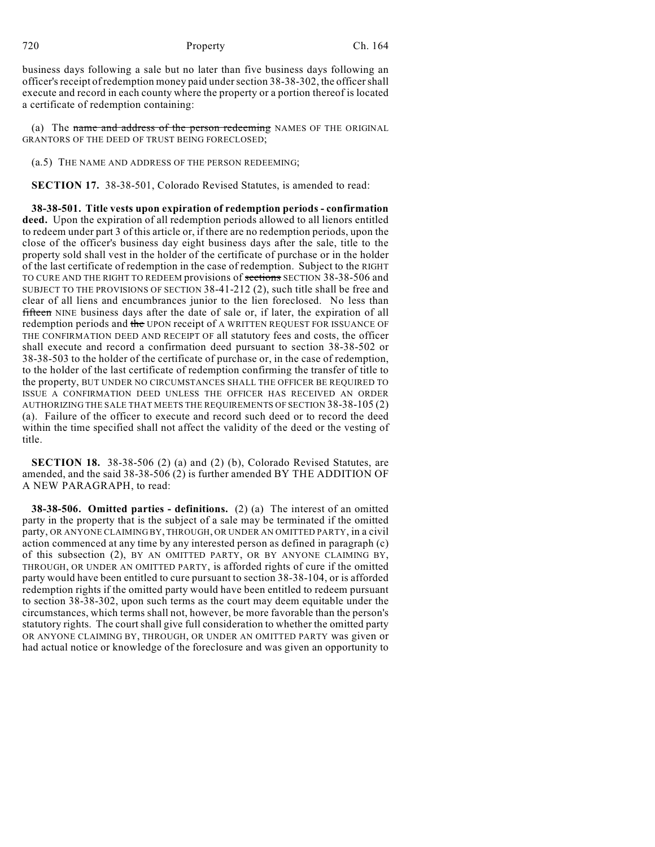business days following a sale but no later than five business days following an officer's receipt of redemption money paid under section 38-38-302, the officer shall execute and record in each county where the property or a portion thereof is located a certificate of redemption containing:

(a) The name and address of the person redeeming NAMES OF THE ORIGINAL GRANTORS OF THE DEED OF TRUST BEING FORECLOSED;

(a.5) THE NAME AND ADDRESS OF THE PERSON REDEEMING;

**SECTION 17.** 38-38-501, Colorado Revised Statutes, is amended to read:

**38-38-501. Title vests upon expiration of redemption periods - confirmation deed.** Upon the expiration of all redemption periods allowed to all lienors entitled to redeem under part 3 of this article or, if there are no redemption periods, upon the close of the officer's business day eight business days after the sale, title to the property sold shall vest in the holder of the certificate of purchase or in the holder of the last certificate of redemption in the case of redemption. Subject to the RIGHT TO CURE AND THE RIGHT TO REDEEM provisions of sections SECTION 38-38-506 and SUBJECT TO THE PROVISIONS OF SECTION 38-41-212 (2), such title shall be free and clear of all liens and encumbrances junior to the lien foreclosed. No less than fifteen NINE business days after the date of sale or, if later, the expiration of all redemption periods and the UPON receipt of A WRITTEN REQUEST FOR ISSUANCE OF THE CONFIRMATION DEED AND RECEIPT OF all statutory fees and costs, the officer shall execute and record a confirmation deed pursuant to section 38-38-502 or 38-38-503 to the holder of the certificate of purchase or, in the case of redemption, to the holder of the last certificate of redemption confirming the transfer of title to the property, BUT UNDER NO CIRCUMSTANCES SHALL THE OFFICER BE REQUIRED TO ISSUE A CONFIRMATION DEED UNLESS THE OFFICER HAS RECEIVED AN ORDER AUTHORIZING THE SALE THAT MEETS THE REQUIREMENTS OF SECTION 38-38-105 (2) (a). Failure of the officer to execute and record such deed or to record the deed within the time specified shall not affect the validity of the deed or the vesting of title.

**SECTION 18.** 38-38-506 (2) (a) and (2) (b), Colorado Revised Statutes, are amended, and the said 38-38-506 (2) is further amended BY THE ADDITION OF A NEW PARAGRAPH, to read:

**38-38-506. Omitted parties - definitions.** (2) (a) The interest of an omitted party in the property that is the subject of a sale may be terminated if the omitted party, OR ANYONE CLAIMING BY, THROUGH, OR UNDER AN OMITTED PARTY, in a civil action commenced at any time by any interested person as defined in paragraph (c) of this subsection (2), BY AN OMITTED PARTY, OR BY ANYONE CLAIMING BY, THROUGH, OR UNDER AN OMITTED PARTY, is afforded rights of cure if the omitted party would have been entitled to cure pursuant to section 38-38-104, or is afforded redemption rights if the omitted party would have been entitled to redeem pursuant to section 38-38-302, upon such terms as the court may deem equitable under the circumstances, which terms shall not, however, be more favorable than the person's statutory rights. The court shall give full consideration to whether the omitted party OR ANYONE CLAIMING BY, THROUGH, OR UNDER AN OMITTED PARTY was given or had actual notice or knowledge of the foreclosure and was given an opportunity to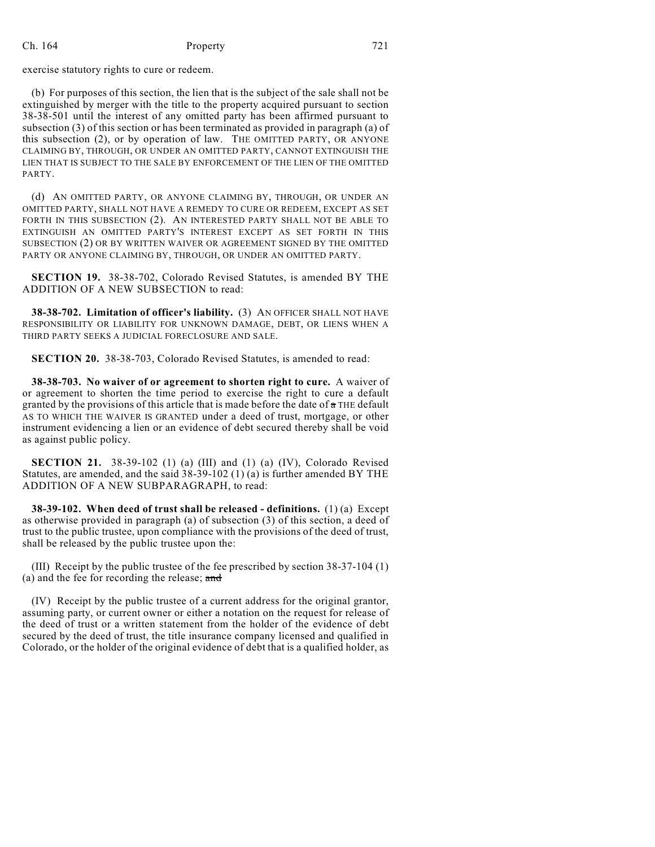exercise statutory rights to cure or redeem.

(b) For purposes of this section, the lien that is the subject of the sale shall not be extinguished by merger with the title to the property acquired pursuant to section 38-38-501 until the interest of any omitted party has been affirmed pursuant to subsection (3) of this section or has been terminated as provided in paragraph (a) of this subsection (2), or by operation of law. THE OMITTED PARTY, OR ANYONE CLAIMING BY, THROUGH, OR UNDER AN OMITTED PARTY, CANNOT EXTINGUISH THE LIEN THAT IS SUBJECT TO THE SALE BY ENFORCEMENT OF THE LIEN OF THE OMITTED PARTY.

(d) AN OMITTED PARTY, OR ANYONE CLAIMING BY, THROUGH, OR UNDER AN OMITTED PARTY, SHALL NOT HAVE A REMEDY TO CURE OR REDEEM, EXCEPT AS SET FORTH IN THIS SUBSECTION (2). AN INTERESTED PARTY SHALL NOT BE ABLE TO EXTINGUISH AN OMITTED PARTY'S INTEREST EXCEPT AS SET FORTH IN THIS SUBSECTION (2) OR BY WRITTEN WAIVER OR AGREEMENT SIGNED BY THE OMITTED PARTY OR ANYONE CLAIMING BY, THROUGH, OR UNDER AN OMITTED PARTY.

**SECTION 19.** 38-38-702, Colorado Revised Statutes, is amended BY THE ADDITION OF A NEW SUBSECTION to read:

**38-38-702. Limitation of officer's liability.** (3) AN OFFICER SHALL NOT HAVE RESPONSIBILITY OR LIABILITY FOR UNKNOWN DAMAGE, DEBT, OR LIENS WHEN A THIRD PARTY SEEKS A JUDICIAL FORECLOSURE AND SALE.

**SECTION 20.** 38-38-703, Colorado Revised Statutes, is amended to read:

**38-38-703. No waiver of or agreement to shorten right to cure.** A waiver of or agreement to shorten the time period to exercise the right to cure a default granted by the provisions of this article that is made before the date of a THE default AS TO WHICH THE WAIVER IS GRANTED under a deed of trust, mortgage, or other instrument evidencing a lien or an evidence of debt secured thereby shall be void as against public policy.

**SECTION 21.** 38-39-102 (1) (a) (III) and (1) (a) (IV), Colorado Revised Statutes, are amended, and the said 38-39-102 (1) (a) is further amended BY THE ADDITION OF A NEW SUBPARAGRAPH, to read:

**38-39-102. When deed of trust shall be released - definitions.** (1) (a) Except as otherwise provided in paragraph (a) of subsection (3) of this section, a deed of trust to the public trustee, upon compliance with the provisions of the deed of trust, shall be released by the public trustee upon the:

(III) Receipt by the public trustee of the fee prescribed by section 38-37-104 (1) (a) and the fee for recording the release; and

(IV) Receipt by the public trustee of a current address for the original grantor, assuming party, or current owner or either a notation on the request for release of the deed of trust or a written statement from the holder of the evidence of debt secured by the deed of trust, the title insurance company licensed and qualified in Colorado, or the holder of the original evidence of debt that is a qualified holder, as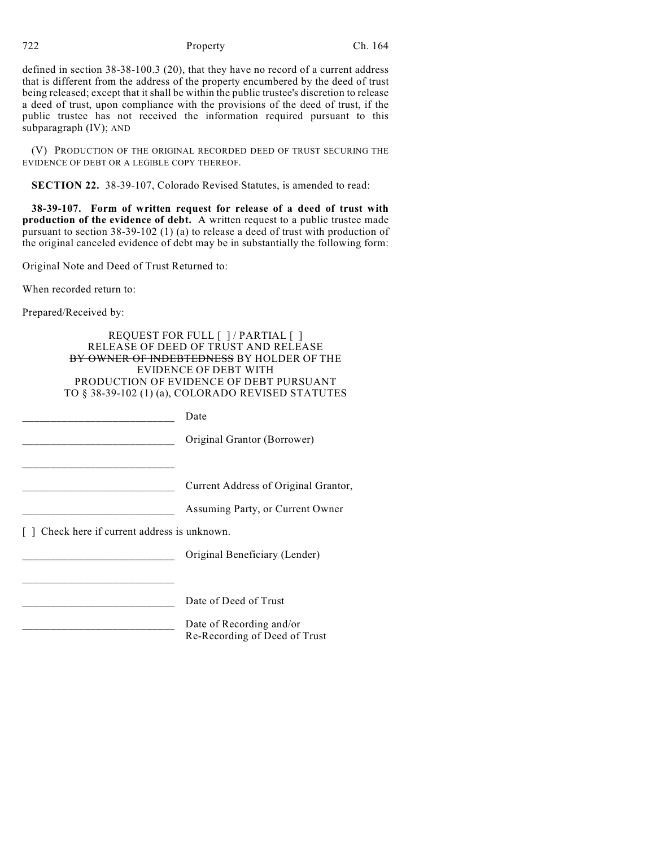defined in section 38-38-100.3 (20), that they have no record of a current address that is different from the address of the property encumbered by the deed of trust being released; except that it shall be within the public trustee's discretion to release a deed of trust, upon compliance with the provisions of the deed of trust, if the public trustee has not received the information required pursuant to this subparagraph (IV); AND

(V) PRODUCTION OF THE ORIGINAL RECORDED DEED OF TRUST SECURING THE EVIDENCE OF DEBT OR A LEGIBLE COPY THEREOF.

**SECTION 22.** 38-39-107, Colorado Revised Statutes, is amended to read:

**38-39-107. Form of written request for release of a deed of trust with production of the evidence of debt.** A written request to a public trustee made pursuant to section 38-39-102 (1) (a) to release a deed of trust with production of the original canceled evidence of debt may be in substantially the following form:

Original Note and Deed of Trust Returned to:

When recorded return to:

Prepared/Received by:

|                                             | REQUEST FOR FULL [] / PARTIAL []                  |
|---------------------------------------------|---------------------------------------------------|
|                                             | RELEASE OF DEED OF TRUST AND RELEASE              |
|                                             | BY OWNER OF INDEBTEDNESS BY HOLDER OF THE         |
|                                             | EVIDENCE OF DEBT WITH                             |
|                                             | PRODUCTION OF EVIDENCE OF DEBT PURSUANT           |
|                                             | TO § 38-39-102 (1) (a), COLORADO REVISED STATUTES |
|                                             |                                                   |
|                                             | Date                                              |
|                                             | Original Grantor (Borrower)                       |
|                                             |                                                   |
|                                             |                                                   |
|                                             |                                                   |
|                                             | Current Address of Original Grantor,              |
|                                             | Assuming Party, or Current Owner                  |
|                                             |                                                   |
| 1 Check here if current address is unknown. |                                                   |
|                                             | Original Beneficiary (Lender)                     |
|                                             |                                                   |
|                                             |                                                   |
|                                             |                                                   |
|                                             | Date of Deed of Trust                             |
|                                             |                                                   |
|                                             | $\Gamma$ ate of Recording and/or                  |

Date of Recording and/or Re-Recording of Deed of Trust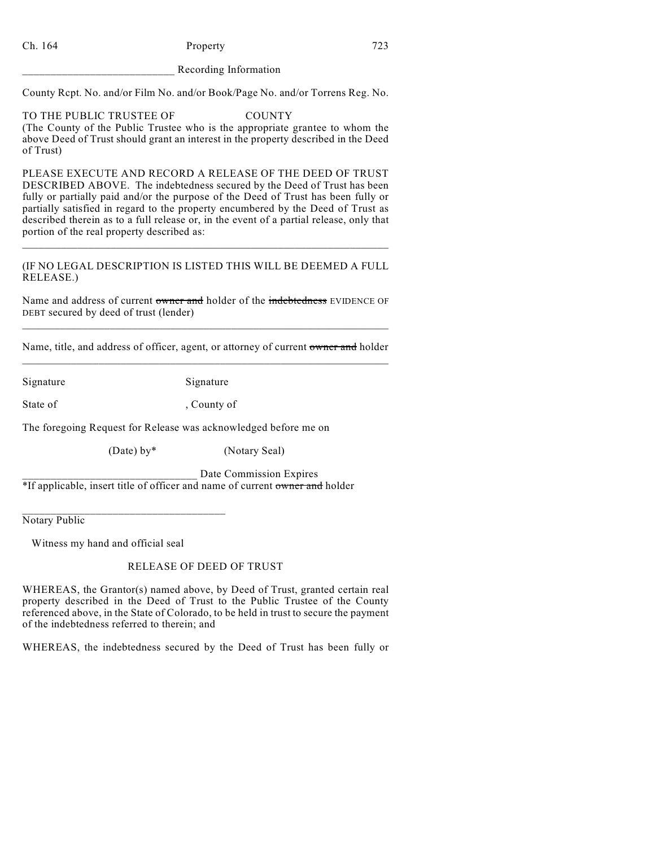\_\_\_\_\_\_\_\_\_\_\_\_\_\_\_\_\_\_\_\_\_\_\_\_\_\_\_ Recording Information

County Rcpt. No. and/or Film No. and/or Book/Page No. and/or Torrens Reg. No.

TO THE PUBLIC TRUSTEE OF COUNTY (The County of the Public Trustee who is the appropriate grantee to whom the above Deed of Trust should grant an interest in the property described in the Deed of Trust)

PLEASE EXECUTE AND RECORD A RELEASE OF THE DEED OF TRUST DESCRIBED ABOVE. The indebtedness secured by the Deed of Trust has been fully or partially paid and/or the purpose of the Deed of Trust has been fully or partially satisfied in regard to the property encumbered by the Deed of Trust as described therein as to a full release or, in the event of a partial release, only that portion of the real property described as:

(IF NO LEGAL DESCRIPTION IS LISTED THIS WILL BE DEEMED A FULL RELEASE.)

 $\_$  , and the set of the set of the set of the set of the set of the set of the set of the set of the set of the set of the set of the set of the set of the set of the set of the set of the set of the set of the set of th

Name and address of current owner and holder of the indebtedness EVIDENCE OF DEBT secured by deed of trust (lender)  $\_$  , and the set of the set of the set of the set of the set of the set of the set of the set of the set of the set of the set of the set of the set of the set of the set of the set of the set of the set of the set of th

Name, title, and address of officer, agent, or attorney of current owner and holder  $\_$  , and the set of the set of the set of the set of the set of the set of the set of the set of the set of the set of the set of the set of the set of the set of the set of the set of the set of the set of the set of th

Signature Signature

State of , County of

The foregoing Request for Release was acknowledged before me on

(Date) by\* (Notary Seal)

Date Commission Expires \*If applicable, insert title of officer and name of current owner and holder

Notary Public

Witness my hand and official seal

\_\_\_\_\_\_\_\_\_\_\_\_\_\_\_\_\_\_\_\_\_\_\_\_\_\_\_\_\_\_\_\_\_\_\_\_

RELEASE OF DEED OF TRUST

WHEREAS, the Grantor(s) named above, by Deed of Trust, granted certain real property described in the Deed of Trust to the Public Trustee of the County referenced above, in the State of Colorado, to be held in trust to secure the payment of the indebtedness referred to therein; and

WHEREAS, the indebtedness secured by the Deed of Trust has been fully or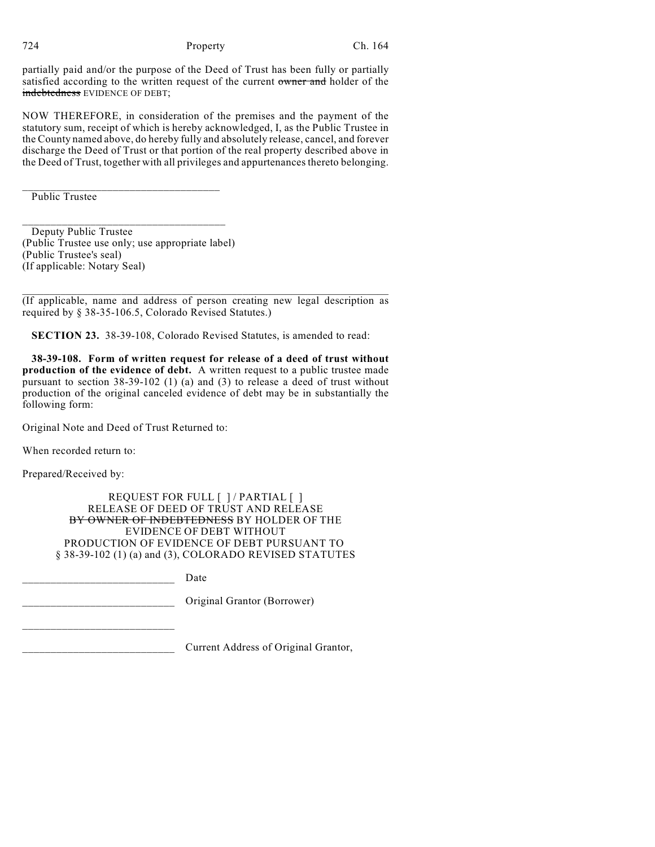partially paid and/or the purpose of the Deed of Trust has been fully or partially satisfied according to the written request of the current owner and holder of the indebtedness EVIDENCE OF DEBT;

NOW THEREFORE, in consideration of the premises and the payment of the statutory sum, receipt of which is hereby acknowledged, I, as the Public Trustee in the County named above, do hereby fully and absolutely release, cancel, and forever discharge the Deed of Trust or that portion of the real property described above in the Deed of Trust, together with all privileges and appurtenances thereto belonging.

Public Trustee

Deputy Public Trustee (Public Trustee use only; use appropriate label) (Public Trustee's seal) (If applicable: Notary Seal)

\_\_\_\_\_\_\_\_\_\_\_\_\_\_\_\_\_\_\_\_\_\_\_\_\_\_\_\_\_\_\_\_\_\_\_

\_\_\_\_\_\_\_\_\_\_\_\_\_\_\_\_\_\_\_\_\_\_\_\_\_\_\_\_\_\_\_\_\_\_\_\_

 $\_$  , and the set of the set of the set of the set of the set of the set of the set of the set of the set of the set of the set of the set of the set of the set of the set of the set of the set of the set of the set of th (If applicable, name and address of person creating new legal description as required by § 38-35-106.5, Colorado Revised Statutes.)

**SECTION 23.** 38-39-108, Colorado Revised Statutes, is amended to read:

**38-39-108. Form of written request for release of a deed of trust without production of the evidence of debt.** A written request to a public trustee made pursuant to section 38-39-102 (1) (a) and (3) to release a deed of trust without production of the original canceled evidence of debt may be in substantially the following form:

Original Note and Deed of Trust Returned to:

When recorded return to:

Prepared/Received by:

REQUEST FOR FULL [ ] / PARTIAL [ ] RELEASE OF DEED OF TRUST AND RELEASE BY OWNER OF INDEBTEDNESS BY HOLDER OF THE EVIDENCE OF DEBT WITHOUT PRODUCTION OF EVIDENCE OF DEBT PURSUANT TO § 38-39-102 (1) (a) and (3), COLORADO REVISED STATUTES

Date

Original Grantor (Borrower)

\_\_\_\_\_\_\_\_\_\_\_\_\_\_\_\_\_\_\_\_\_\_\_\_\_\_\_

Current Address of Original Grantor,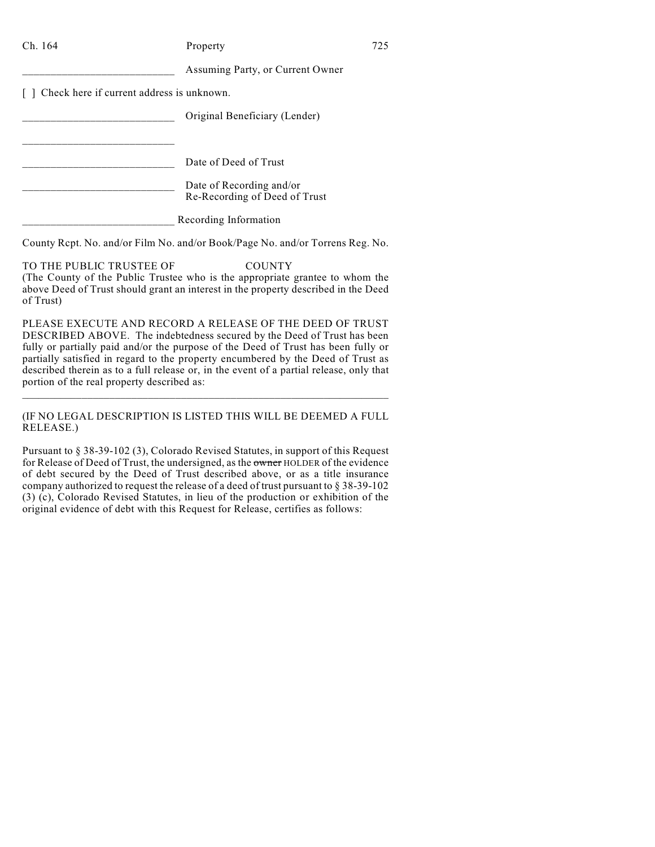| Ch. 164                                   | Property                                                  | 725 |
|-------------------------------------------|-----------------------------------------------------------|-----|
|                                           | Assuming Party, or Current Owner                          |     |
| Check here if current address is unknown. |                                                           |     |
|                                           | Original Beneficiary (Lender)                             |     |
|                                           |                                                           |     |
|                                           | Date of Deed of Trust                                     |     |
|                                           | Date of Recording and/or<br>Re-Recording of Deed of Trust |     |
|                                           | Recording Information                                     |     |

County Rcpt. No. and/or Film No. and/or Book/Page No. and/or Torrens Reg. No.

TO THE PUBLIC TRUSTEE OF COUNTY (The County of the Public Trustee who is the appropriate grantee to whom the above Deed of Trust should grant an interest in the property described in the Deed of Trust)

PLEASE EXECUTE AND RECORD A RELEASE OF THE DEED OF TRUST DESCRIBED ABOVE. The indebtedness secured by the Deed of Trust has been fully or partially paid and/or the purpose of the Deed of Trust has been fully or partially satisfied in regard to the property encumbered by the Deed of Trust as described therein as to a full release or, in the event of a partial release, only that portion of the real property described as:

## (IF NO LEGAL DESCRIPTION IS LISTED THIS WILL BE DEEMED A FULL RELEASE.)

 $\_$  , and the set of the set of the set of the set of the set of the set of the set of the set of the set of the set of the set of the set of the set of the set of the set of the set of the set of the set of the set of th

Pursuant to § 38-39-102 (3), Colorado Revised Statutes, in support of this Request for Release of Deed of Trust, the undersigned, as the owner HOLDER of the evidence of debt secured by the Deed of Trust described above, or as a title insurance company authorized to request the release of a deed of trust pursuant to § 38-39-102 (3) (c), Colorado Revised Statutes, in lieu of the production or exhibition of the original evidence of debt with this Request for Release, certifies as follows: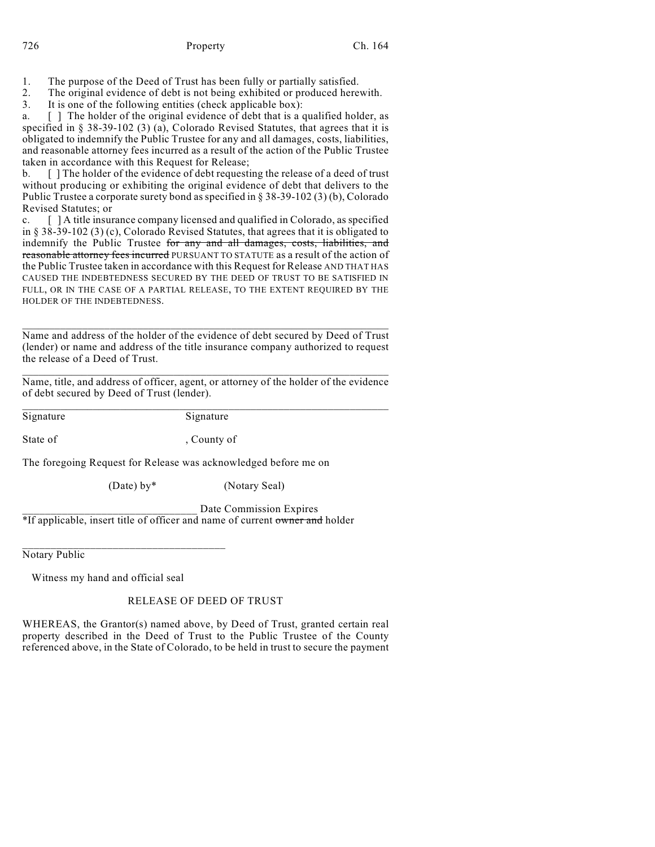1. The purpose of the Deed of Trust has been fully or partially satisfied.

2. The original evidence of debt is not being exhibited or produced herewith.<br>3. It is one of the following entities (check applicable box):

It is one of the following entities (check applicable box):

a. [ ] The holder of the original evidence of debt that is a qualified holder, as specified in § 38-39-102 (3) (a), Colorado Revised Statutes, that agrees that it is obligated to indemnify the Public Trustee for any and all damages, costs, liabilities, and reasonable attorney fees incurred as a result of the action of the Public Trustee taken in accordance with this Request for Release;

b. [ ] The holder of the evidence of debt requesting the release of a deed of trust without producing or exhibiting the original evidence of debt that delivers to the Public Trustee a corporate surety bond as specified in § 38-39-102 (3) (b), Colorado Revised Statutes; or

c. [ ] A title insurance company licensed and qualified in Colorado, as specified in § 38-39-102 (3) (c), Colorado Revised Statutes, that agrees that it is obligated to indemnify the Public Trustee for any and all damages, costs, liabilities, and reasonable attorney fees incurred PURSUANT TO STATUTE as a result of the action of the Public Trustee taken in accordance with this Request for Release AND THAT HAS CAUSED THE INDEBTEDNESS SECURED BY THE DEED OF TRUST TO BE SATISFIED IN FULL, OR IN THE CASE OF A PARTIAL RELEASE, TO THE EXTENT REQUIRED BY THE HOLDER OF THE INDEBTEDNESS.

 $\_$  , and the set of the set of the set of the set of the set of the set of the set of the set of the set of the set of the set of the set of the set of the set of the set of the set of the set of the set of the set of th Name and address of the holder of the evidence of debt secured by Deed of Trust (lender) or name and address of the title insurance company authorized to request the release of a Deed of Trust.

\_\_\_\_\_\_\_\_\_\_\_\_\_\_\_\_\_\_\_\_\_\_\_\_\_\_\_\_\_\_\_\_\_\_\_\_\_\_\_\_\_\_\_\_\_\_\_\_\_\_\_\_\_\_\_\_\_\_\_\_\_\_\_\_\_\_\_ Name, title, and address of officer, agent, or attorney of the holder of the evidence of debt secured by Deed of Trust (lender).

 $\_$  , and the set of the set of the set of the set of the set of the set of the set of the set of the set of the set of the set of the set of the set of the set of the set of the set of the set of the set of the set of th Signature Signature

State of , County of

The foregoing Request for Release was acknowledged before me on

(Date) by\* (Notary Seal)

Date Commission Expires \*If applicable, insert title of officer and name of current owner and holder

\_\_\_\_\_\_\_\_\_\_\_\_\_\_\_\_\_\_\_\_\_\_\_\_\_\_\_\_\_\_\_\_\_\_\_\_ Notary Public

Witness my hand and official seal

## RELEASE OF DEED OF TRUST

WHEREAS, the Grantor(s) named above, by Deed of Trust, granted certain real property described in the Deed of Trust to the Public Trustee of the County referenced above, in the State of Colorado, to be held in trust to secure the payment